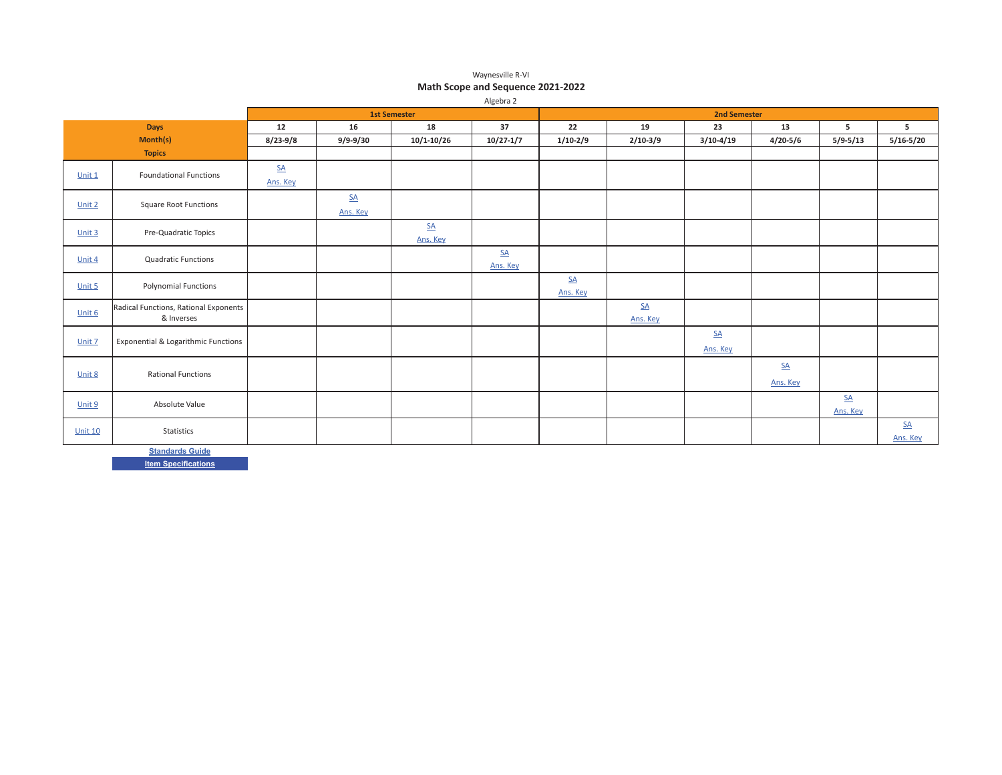#### Waynesville R-VI **Math Scope and Sequence 2021-2022**

|                |                                       |                  |                |                     | Algebra 2        |                  |            |                     |              |                  |                  |
|----------------|---------------------------------------|------------------|----------------|---------------------|------------------|------------------|------------|---------------------|--------------|------------------|------------------|
|                |                                       |                  |                | <b>1st Semester</b> |                  |                  |            | <b>2nd Semester</b> |              |                  |                  |
|                | <b>Days</b>                           | 12               | 16             | 18                  | 37               | 22               | 19         | 23                  | 13           | 5                | 5                |
|                | Month(s)                              | $8/23 - 9/8$     | $9/9 - 9/30$   | $10/1 - 10/26$      | $10/27 - 1/7$    | $1/10-2/9$       | $2/10-3/9$ | $3/10-4/19$         | $4/20 - 5/6$ | $5/9 - 5/13$     | $5/16 - 5/20$    |
|                | <b>Topics</b>                         |                  |                |                     |                  |                  |            |                     |              |                  |                  |
|                |                                       | $\underline{SA}$ |                |                     |                  |                  |            |                     |              |                  |                  |
| Unit 1         | <b>Foundational Functions</b>         | Ans. Key         |                |                     |                  |                  |            |                     |              |                  |                  |
|                |                                       |                  | $S_{\text{A}}$ |                     |                  |                  |            |                     |              |                  |                  |
| Unit 2         | <b>Square Root Functions</b>          |                  | Ans. Key       |                     |                  |                  |            |                     |              |                  |                  |
| Unit $3$       | Pre-Quadratic Topics                  |                  |                | $\underline{SA}$    |                  |                  |            |                     |              |                  |                  |
|                |                                       |                  |                | Ans. Key            |                  |                  |            |                     |              |                  |                  |
| Unit 4         | <b>Quadratic Functions</b>            |                  |                |                     | $\underline{SA}$ |                  |            |                     |              |                  |                  |
|                |                                       |                  |                |                     | Ans. Key         |                  |            |                     |              |                  |                  |
| Unit 5         | <b>Polynomial Functions</b>           |                  |                |                     |                  | $\underline{SA}$ |            |                     |              |                  |                  |
|                |                                       |                  |                |                     |                  | Ans. Key         |            |                     |              |                  |                  |
| Unit 6         | Radical Functions, Rational Exponents |                  |                |                     |                  |                  | $S\Delta$  |                     |              |                  |                  |
|                | & Inverses                            |                  |                |                     |                  |                  | Ans. Key   |                     |              |                  |                  |
| Unit 7         | Exponential & Logarithmic Functions   |                  |                |                     |                  |                  |            | $\underline{SA}$    |              |                  |                  |
|                |                                       |                  |                |                     |                  |                  |            | Ans. Key            |              |                  |                  |
|                | <b>Rational Functions</b>             |                  |                |                     |                  |                  |            |                     | SA           |                  |                  |
| Unit 8         |                                       |                  |                |                     |                  |                  |            |                     | Ans. Key     |                  |                  |
| Unit 9         | Absolute Value                        |                  |                |                     |                  |                  |            |                     |              | $\underline{SA}$ |                  |
|                |                                       |                  |                |                     |                  |                  |            |                     |              | Ans. Key         |                  |
| <b>Unit 10</b> | <b>Statistics</b>                     |                  |                |                     |                  |                  |            |                     |              |                  | $\underline{SA}$ |
|                |                                       |                  |                |                     |                  |                  |            |                     |              |                  | Ans. Key         |

<u>Standards Guide</u>

**<u>Item Specifications</u>**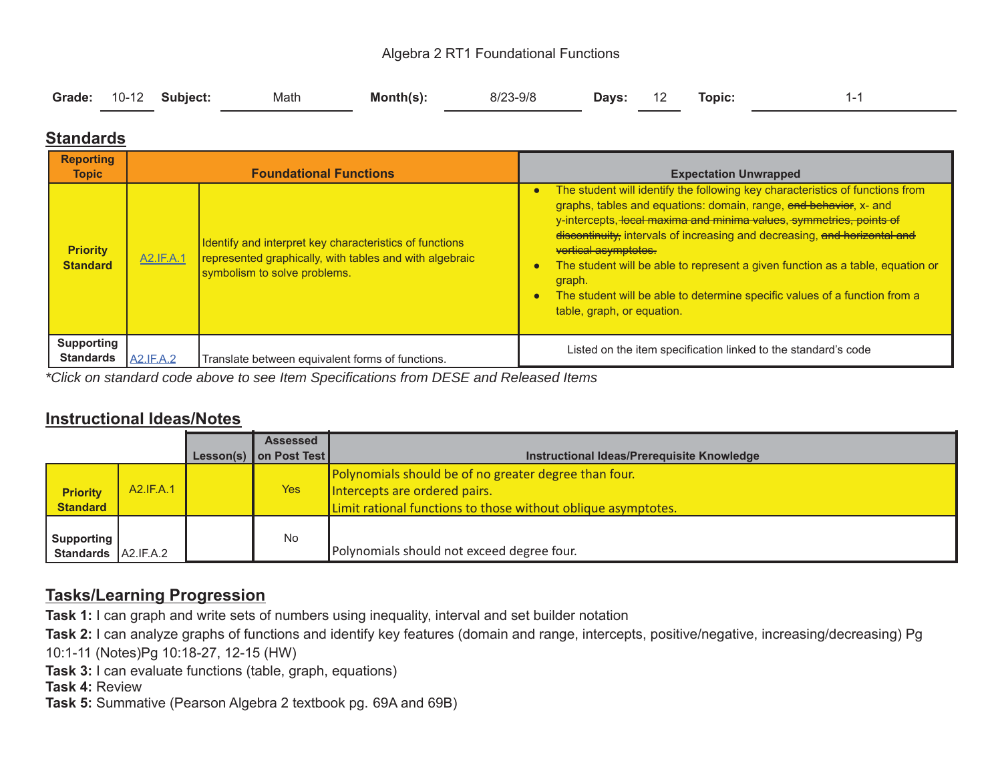#### Algebra 2 RT1 Foundational Functions

| Days: 12 Topic: |  |  | Grade: 10-12 Subject: | Math | Month(s): | 8/23-9/8 |  |  |  |  |
|-----------------|--|--|-----------------------|------|-----------|----------|--|--|--|--|
|-----------------|--|--|-----------------------|------|-----------|----------|--|--|--|--|

### **Standards**

| <b>Reporting</b><br><b>Topic</b>      |                  | <b>Foundational Functions</b>                                                                                                                      | <b>Expectation Unwrapped</b>                                                                                                                                                                                                                                                                                                                                                                                                                                                                                                                                                  |  |  |  |
|---------------------------------------|------------------|----------------------------------------------------------------------------------------------------------------------------------------------------|-------------------------------------------------------------------------------------------------------------------------------------------------------------------------------------------------------------------------------------------------------------------------------------------------------------------------------------------------------------------------------------------------------------------------------------------------------------------------------------------------------------------------------------------------------------------------------|--|--|--|
| <b>Priority</b><br><b>Standard</b>    | <b>A2.IF.A.1</b> | Identify and interpret key characteristics of functions<br>represented graphically, with tables and with algebraic<br>symbolism to solve problems. | The student will identify the following key characteristics of functions from<br>$\bullet$<br>graphs, tables and equations: domain, range, end behavior, x- and<br>y-intercepts, local maxima and minima values, symmetries, points of<br>discontinuity, intervals of increasing and decreasing, and horizontal and<br>vertical asymptotes.<br>The student will be able to represent a given function as a table, equation or<br>$\bullet$<br>graph.<br>The student will be able to determine specific values of a function from a<br>$\bullet$<br>table, graph, or equation. |  |  |  |
| <b>Supporting</b><br><b>Standards</b> | <b>A2.IF.A.2</b> | Translate between equivalent forms of functions.                                                                                                   | Listed on the item specification linked to the standard's code                                                                                                                                                                                                                                                                                                                                                                                                                                                                                                                |  |  |  |

*\*Click on standard code above to see Item Specifications from DESE and Released Items*

#### **Instructional Ideas/Notes**

|                                    |           |           | <b>Assessed</b> |                                                                                                                                                         |
|------------------------------------|-----------|-----------|-----------------|---------------------------------------------------------------------------------------------------------------------------------------------------------|
|                                    |           | Lesson(s) | on Post Test    | Instructional Ideas/Prerequisite Knowledge                                                                                                              |
| <b>Priority</b><br><b>Standard</b> | A2.IF.A.1 |           | <b>Yes</b>      | Polynomials should be of no greater degree than four.<br>Intercepts are ordered pairs.<br>Limit rational functions to those without oblique asymptotes. |
| Supporting<br><b>Standards</b>     | A2.IF.A.2 |           | <b>No</b>       | Polynomials should not exceed degree four.                                                                                                              |

### **Tasks/Learning Progression**

**Task 1:** I can graph and write sets of numbers using inequality, interval and set builder notation

**Task 2:** I can analyze graphs of functions and identify key features (domain and range, intercepts, positive/negative, increasing/decreasing) Pg

10:1-11 (Notes)Pg 10:18-27, 12-15 (HW)

**Task 3:** I can evaluate functions (table, graph, equations)

**Task 4:** Review

**Task 5:** Summative (Pearson Algebra 2 textbook pg. 69A and 69B)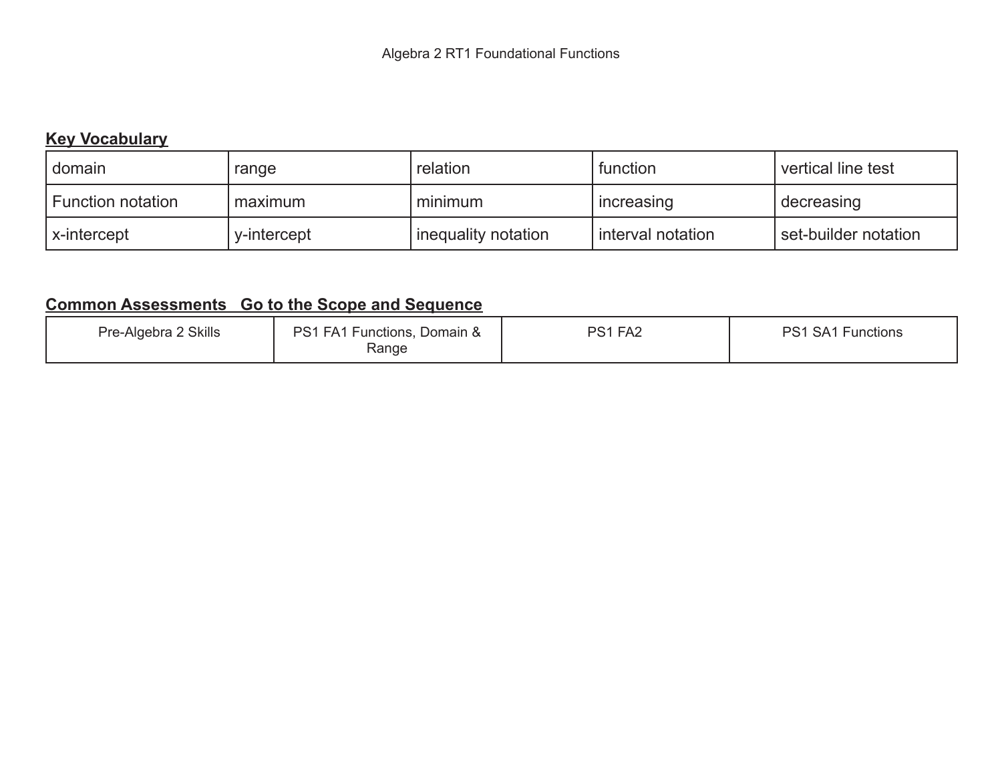## **Key Vocabulary**

| domain                   | range       | relation              | function            | vertical line test   |
|--------------------------|-------------|-----------------------|---------------------|----------------------|
| <b>Function notation</b> | maximum     | minimum               | increasing          | decreasing           |
| x-intercept              | v-intercept | I inequality notation | I interval notation | set-builder notation |

| <b>Skills</b><br>Pre-Algebra | PS <sub>1</sub><br>FA1<br>-unctions.<br>Domain &<br>Range | FA <sub>2</sub><br>DQ 1 | <b>Functions</b><br>DC 1<br>SA <sub>1</sub> |
|------------------------------|-----------------------------------------------------------|-------------------------|---------------------------------------------|
|------------------------------|-----------------------------------------------------------|-------------------------|---------------------------------------------|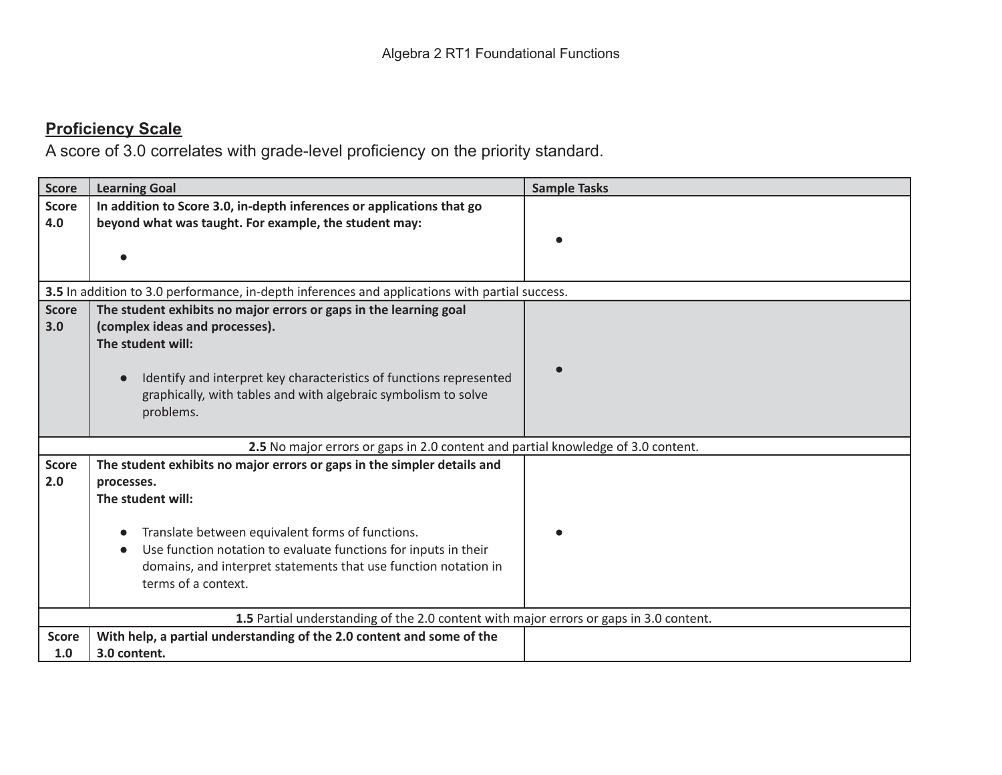| <b>Score</b>        | <b>Learning Goal</b>                                                                                                                                                                                                                                                                                                        | <b>Sample Tasks</b> |
|---------------------|-----------------------------------------------------------------------------------------------------------------------------------------------------------------------------------------------------------------------------------------------------------------------------------------------------------------------------|---------------------|
| <b>Score</b><br>4.0 | In addition to Score 3.0, in-depth inferences or applications that go<br>beyond what was taught. For example, the student may:                                                                                                                                                                                              |                     |
|                     | 3.5 In addition to 3.0 performance, in-depth inferences and applications with partial success.                                                                                                                                                                                                                              |                     |
| <b>Score</b><br>3.0 | The student exhibits no major errors or gaps in the learning goal<br>(complex ideas and processes).<br>The student will:<br>Identify and interpret key characteristics of functions represented<br>graphically, with tables and with algebraic symbolism to solve<br>problems.                                              |                     |
|                     | 2.5 No major errors or gaps in 2.0 content and partial knowledge of 3.0 content.                                                                                                                                                                                                                                            |                     |
| <b>Score</b><br>2.0 | The student exhibits no major errors or gaps in the simpler details and<br>processes.<br>The student will:<br>Translate between equivalent forms of functions.<br>Use function notation to evaluate functions for inputs in their<br>domains, and interpret statements that use function notation in<br>terms of a context. |                     |
|                     | 1.5 Partial understanding of the 2.0 content with major errors or gaps in 3.0 content.                                                                                                                                                                                                                                      |                     |
| <b>Score</b><br>1.0 | With help, a partial understanding of the 2.0 content and some of the<br>3.0 content.                                                                                                                                                                                                                                       |                     |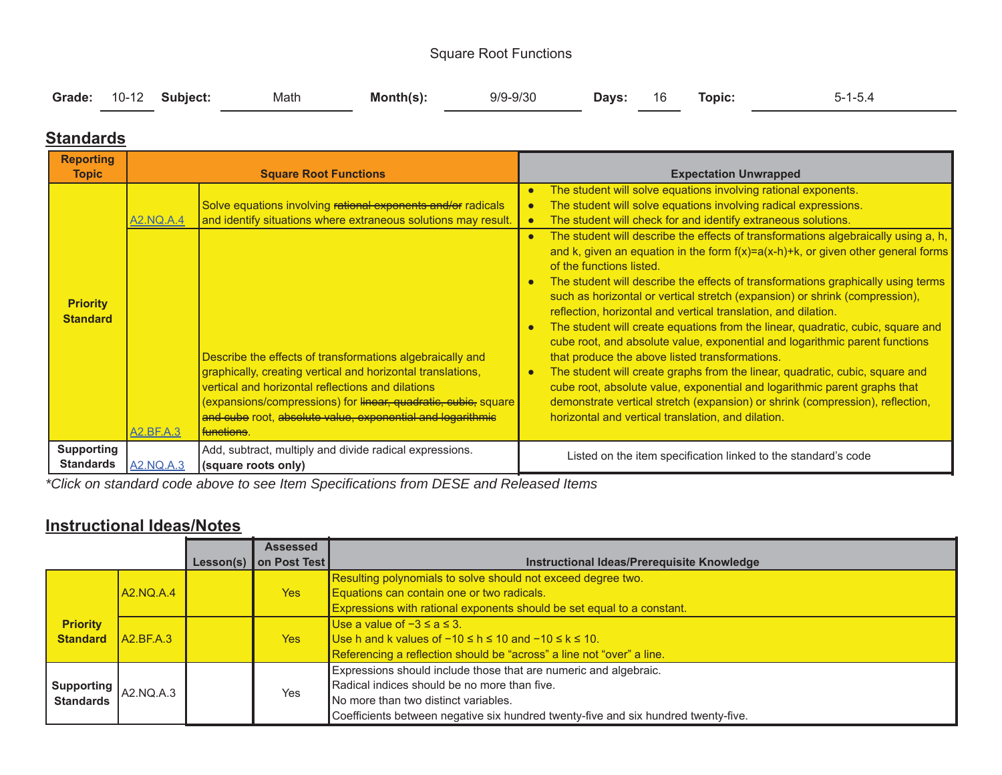#### Square Root Functions

| Grade: 10-12 Subject: Math<br><b>Days:</b> 16 Topic: |  |  |  |  | Month(s): | 9/9-9/30 |  |  |  | $5 - 1 - 5.4$ |
|------------------------------------------------------|--|--|--|--|-----------|----------|--|--|--|---------------|
|------------------------------------------------------|--|--|--|--|-----------|----------|--|--|--|---------------|

### **Standards**

| <b>Reporting</b><br><b>Topic</b>      |                  | <b>Square Root Functions</b>                                                                                                                                                                                                                                                                                    | <b>Expectation Unwrapped</b>                                                                                                                                                                                                                                                                                                                                                                                                                                                                                                                                                                                                                                                                                                                                                                                                                                                                                                                                                                                                      |
|---------------------------------------|------------------|-----------------------------------------------------------------------------------------------------------------------------------------------------------------------------------------------------------------------------------------------------------------------------------------------------------------|-----------------------------------------------------------------------------------------------------------------------------------------------------------------------------------------------------------------------------------------------------------------------------------------------------------------------------------------------------------------------------------------------------------------------------------------------------------------------------------------------------------------------------------------------------------------------------------------------------------------------------------------------------------------------------------------------------------------------------------------------------------------------------------------------------------------------------------------------------------------------------------------------------------------------------------------------------------------------------------------------------------------------------------|
| <b>Priority</b><br><b>Standard</b>    | A2.NQ.A.4        | Solve equations involving rational exponents and/or radicals<br>and identify situations where extraneous solutions may result.<br>Describe the effects of transformations algebraically and<br>graphically, creating vertical and horizontal translations,<br>vertical and horizontal reflections and dilations | The student will solve equations involving rational exponents.<br>The student will solve equations involving radical expressions.<br>The student will check for and identify extraneous solutions.<br>The student will describe the effects of transformations algebraically using a, h,<br>and k, given an equation in the form $f(x)=a(x-h)+k$ , or given other general forms<br>of the functions listed.<br>The student will describe the effects of transformations graphically using terms<br>such as horizontal or vertical stretch (expansion) or shrink (compression),<br>reflection, horizontal and vertical translation, and dilation.<br>The student will create equations from the linear, quadratic, cubic, square and<br>cube root, and absolute value, exponential and logarithmic parent functions<br>that produce the above listed transformations.<br>The student will create graphs from the linear, quadratic, cubic, square and<br>cube root, absolute value, exponential and logarithmic parent graphs that |
|                                       | A2.BF.A.3        | (expansions/compressions) for linear, quadratic, cubic, square<br>and cube root, absolute value, exponential and logarithmic<br>functions.                                                                                                                                                                      | demonstrate vertical stretch (expansion) or shrink (compression), reflection,<br>horizontal and vertical translation, and dilation.                                                                                                                                                                                                                                                                                                                                                                                                                                                                                                                                                                                                                                                                                                                                                                                                                                                                                               |
| <b>Supporting</b><br><b>Standards</b> | <b>A2.NQ.A.3</b> | Add, subtract, multiply and divide radical expressions.<br>(square roots only)                                                                                                                                                                                                                                  | Listed on the item specification linked to the standard's code                                                                                                                                                                                                                                                                                                                                                                                                                                                                                                                                                                                                                                                                                                                                                                                                                                                                                                                                                                    |

*\*Click on standard code above to see Item Specifications from DESE and Released Items*

#### **Instructional Ideas/Notes**

|                                                                            |           | <b>Assessed</b>        |                                                                                                                                                                                                                                                |
|----------------------------------------------------------------------------|-----------|------------------------|------------------------------------------------------------------------------------------------------------------------------------------------------------------------------------------------------------------------------------------------|
|                                                                            |           | Lesson(s) on Post Test | Instructional Ideas/Prerequisite Knowledge                                                                                                                                                                                                     |
|                                                                            | A2.NQ.A.4 | Yes                    | Resulting polynomials to solve should not exceed degree two.<br>Equations can contain one or two radicals.<br>Expressions with rational exponents should be set equal to a constant.                                                           |
| <b>Priority</b><br><b>Standard</b>                                         | A2.BF.A.3 | Yes                    | Use a value of $-3 \le a \le 3$ .<br>Use h and k values of $-10 \le h \le 10$ and $-10 \le k \le 10$ .<br>Referencing a reflection should be "across" a line not "over" a line.                                                                |
| $\frac{1}{2}$ Supporting $\left  \right _{A2. NQ.A.3}$<br><b>Standards</b> |           | <b>Yes</b>             | Expressions should include those that are numeric and algebraic.<br>Radical indices should be no more than five.<br>No more than two distinct variables.<br>Coefficients between negative six hundred twenty-five and six hundred twenty-five. |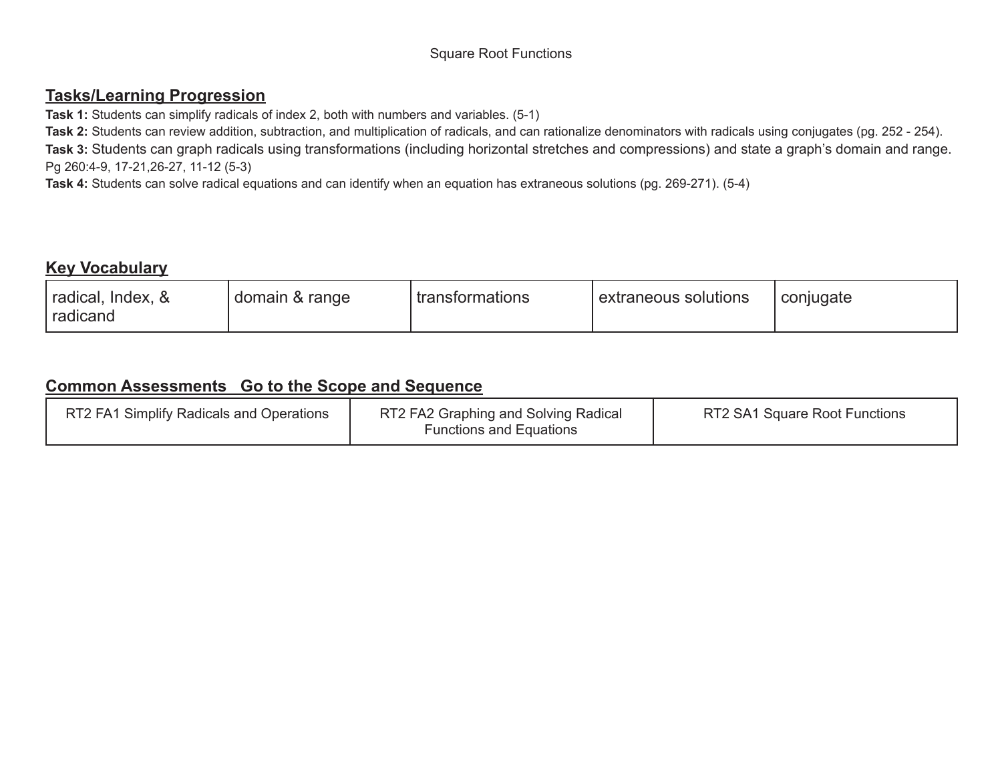#### Square Root Functions

#### **Tasks/Learning Progression**

**Task 1:** Students can simplify radicals of index 2, both with numbers and variables. (5-1)

**Task 2:** Students can review addition, subtraction, and multiplication of radicals, and can rationalize denominators with radicals using conjugates (pg. 252 - 254). **Task 3:** Students can graph radicals using transformations (including horizontal stretches and compressions) and state a graph's domain and range. Pg 260:4-9, 17-21,26-27, 11-12 (5-3)

**Task 4:** Students can solve radical equations and can identify when an equation has extraneous solutions (pg. 269-271). (5-4)

#### **Key Vocabulary**

| RT2 FA1 Simplify Radicals and Operations | RT2 FA2 Graphing and Solving Radical<br><b>Functions and Equations</b> | RT2 SA1 Square Root Functions |
|------------------------------------------|------------------------------------------------------------------------|-------------------------------|
|------------------------------------------|------------------------------------------------------------------------|-------------------------------|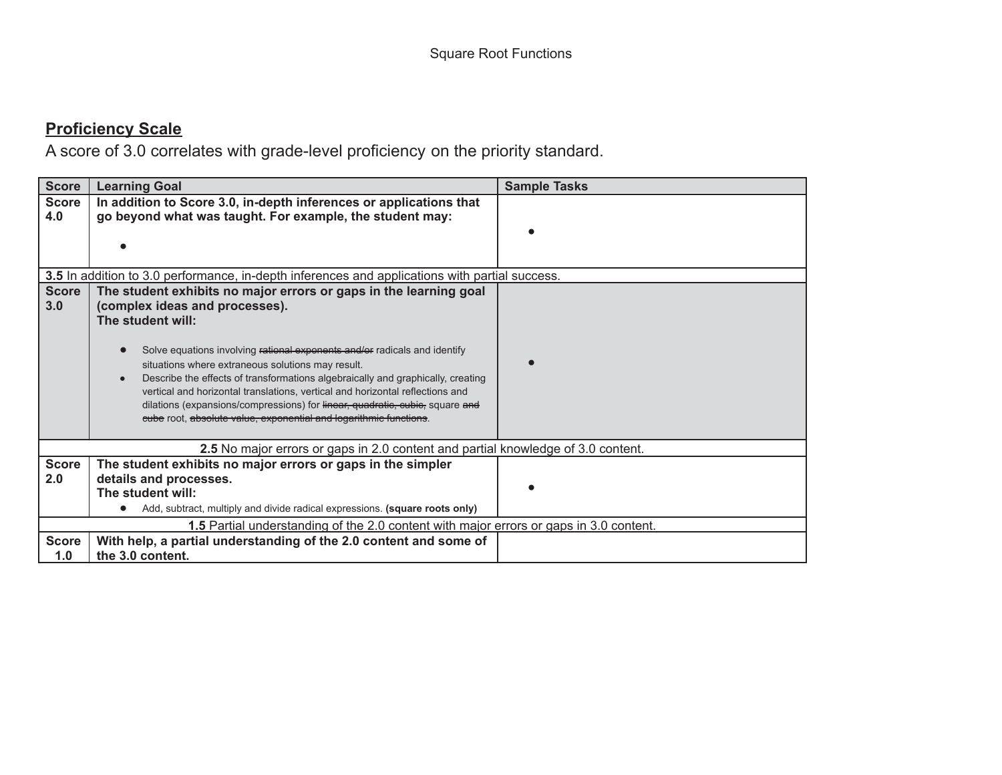| <b>Score</b>        | <b>Learning Goal</b>                                                                                                                              | <b>Sample Tasks</b> |
|---------------------|---------------------------------------------------------------------------------------------------------------------------------------------------|---------------------|
| <b>Score</b>        | In addition to Score 3.0, in-depth inferences or applications that                                                                                |                     |
| 4.0                 | go beyond what was taught. For example, the student may:                                                                                          |                     |
|                     |                                                                                                                                                   |                     |
|                     |                                                                                                                                                   |                     |
|                     | 3.5 In addition to 3.0 performance, in-depth inferences and applications with partial success.                                                    |                     |
| <b>Score</b><br>3.0 | The student exhibits no major errors or gaps in the learning goal<br>(complex ideas and processes).                                               |                     |
|                     | The student will:                                                                                                                                 |                     |
|                     | Solve equations involving rational exponents and/or radicals and identify                                                                         |                     |
|                     | situations where extraneous solutions may result.<br>Describe the effects of transformations algebraically and graphically, creating<br>$\bullet$ |                     |
|                     | vertical and horizontal translations, vertical and horizontal reflections and                                                                     |                     |
|                     | dilations (expansions/compressions) for linear, quadratic, cubic, square and<br>eube root, absolute value, exponential and logarithmic functions. |                     |
|                     |                                                                                                                                                   |                     |
|                     | 2.5 No major errors or gaps in 2.0 content and partial knowledge of 3.0 content.                                                                  |                     |
| <b>Score</b>        | The student exhibits no major errors or gaps in the simpler                                                                                       |                     |
| 2.0                 | details and processes.                                                                                                                            |                     |
|                     | The student will:                                                                                                                                 |                     |
|                     | Add, subtract, multiply and divide radical expressions. (square roots only)                                                                       |                     |
|                     | 1.5 Partial understanding of the 2.0 content with major errors or gaps in 3.0 content.                                                            |                     |
| <b>Score</b>        | With help, a partial understanding of the 2.0 content and some of                                                                                 |                     |
| 1.0                 | the 3.0 content.                                                                                                                                  |                     |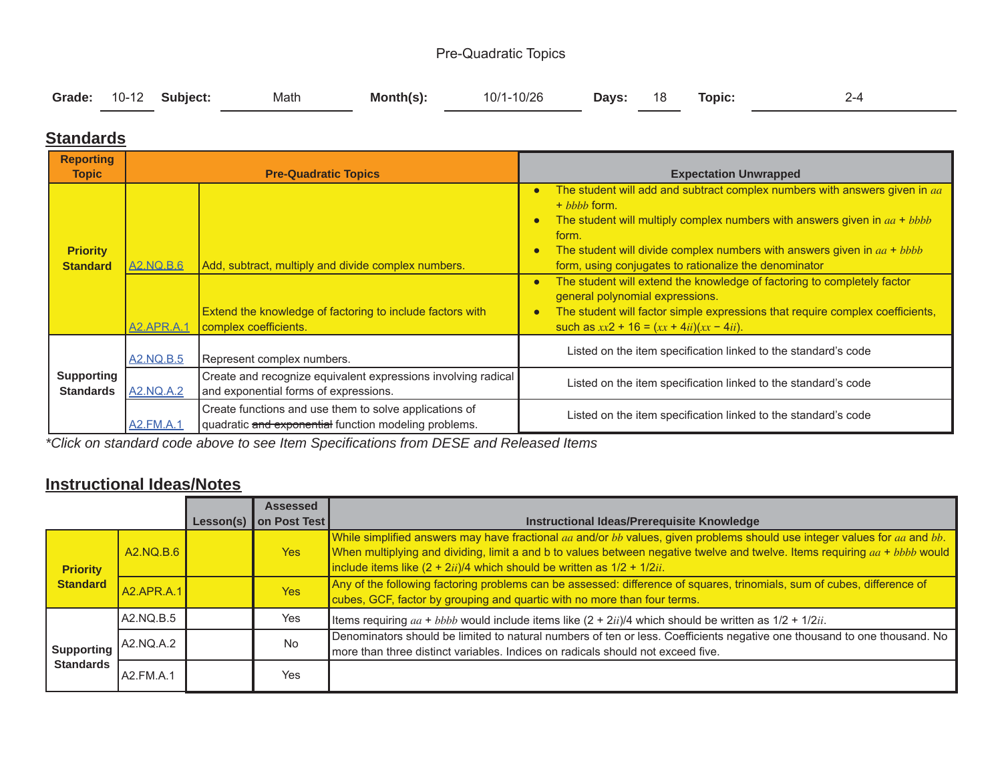#### Pre-Quadratic Topics

|  | Grade: 10-12 Subject: Math | <b>Month(s):</b> $10/1-10/26$ |  | Days: 18 Topic: |  |
|--|----------------------------|-------------------------------|--|-----------------|--|
|  |                            |                               |  |                 |  |

#### **Standards**

| <b>Reporting</b><br><b>Topic</b>      |                         | <b>Pre-Quadratic Topics</b>                                                                                                               | <b>Expectation Unwrapped</b>                                                                                                                                                                                                                                                                                                                                                                                                                                                                                                                                                                                                               |  |  |
|---------------------------------------|-------------------------|-------------------------------------------------------------------------------------------------------------------------------------------|--------------------------------------------------------------------------------------------------------------------------------------------------------------------------------------------------------------------------------------------------------------------------------------------------------------------------------------------------------------------------------------------------------------------------------------------------------------------------------------------------------------------------------------------------------------------------------------------------------------------------------------------|--|--|
| <b>Priority</b><br><b>Standard</b>    | A2.NQ.B.6<br>A2.APR.A.1 | Add, subtract, multiply and divide complex numbers.<br>Extend the knowledge of factoring to include factors with<br>complex coefficients. | The student will add and subtract complex numbers with answers given in aa<br>$\bullet$<br>$+$ $hhh$ form.<br>The student will multiply complex numbers with answers given in $aa + bbbb$<br>$\bullet$<br>form.<br>The student will divide complex numbers with answers given in $aa + bbbb$<br>$\bullet$<br>form, using conjugates to rationalize the denominator<br>The student will extend the knowledge of factoring to completely factor<br>$\bullet$<br>general polynomial expressions.<br>The student will factor simple expressions that require complex coefficients,<br>$\bullet$<br>such as $xx2 + 16 = (xx + 4ii)(xx - 4ii)$ . |  |  |
|                                       | <b>A2.NQ.B.5</b>        | Represent complex numbers.                                                                                                                | Listed on the item specification linked to the standard's code                                                                                                                                                                                                                                                                                                                                                                                                                                                                                                                                                                             |  |  |
| <b>Supporting</b><br><b>Standards</b> | <u>A2.NQ.A.2</u>        | Create and recognize equivalent expressions involving radical<br>and exponential forms of expressions.                                    | Listed on the item specification linked to the standard's code                                                                                                                                                                                                                                                                                                                                                                                                                                                                                                                                                                             |  |  |
|                                       | A2.FM.A.1               | Create functions and use them to solve applications of<br>quadratic and exponential function modeling problems.                           | Listed on the item specification linked to the standard's code                                                                                                                                                                                                                                                                                                                                                                                                                                                                                                                                                                             |  |  |

*\*Click on standard code above to see Item Specifications from DESE and Released Items*

#### **Instructional Ideas/Notes**

|                                |                   | Lesson(s) | <b>Assessed</b><br>on Post Test | Instructional Ideas/Prerequisite Knowledge                                                                                                                                                                                                                                                                                             |
|--------------------------------|-------------------|-----------|---------------------------------|----------------------------------------------------------------------------------------------------------------------------------------------------------------------------------------------------------------------------------------------------------------------------------------------------------------------------------------|
| <b>Priority</b>                | A2.NQ.B.6         |           | <b>Yes</b>                      | While simplified answers may have fractional aa and/or bb values, given problems should use integer values for aa and bb.<br>When multiplying and dividing, limit a and b to values between negative twelve and twelve. Items requiring aa + bbbb would<br>include items like $(2 + 2ii)/4$ which should be written as $1/2 + 1/2ii$ . |
| <b>Standard</b>                | <b>A2.APR.A.1</b> |           | <b>Yes</b>                      | Any of the following factoring problems can be assessed: difference of squares, trinomials, sum of cubes, difference of<br>cubes, GCF, factor by grouping and quartic with no more than four terms.                                                                                                                                    |
|                                | A2.NQ.B.5         |           | Yes                             | Items requiring $aa + bbbb$ would include items like $(2 + 2ii)/4$ which should be written as $1/2 + 1/2ii$ .                                                                                                                                                                                                                          |
| Supporting<br><b>Standards</b> | A2.NQ.A.2         |           | <b>No</b>                       | Denominators should be limited to natural numbers of ten or less. Coefficients negative one thousand to one thousand. No<br>more than three distinct variables. Indices on radicals should not exceed five.                                                                                                                            |
|                                | LA2.FM.A.1        |           | Yes                             |                                                                                                                                                                                                                                                                                                                                        |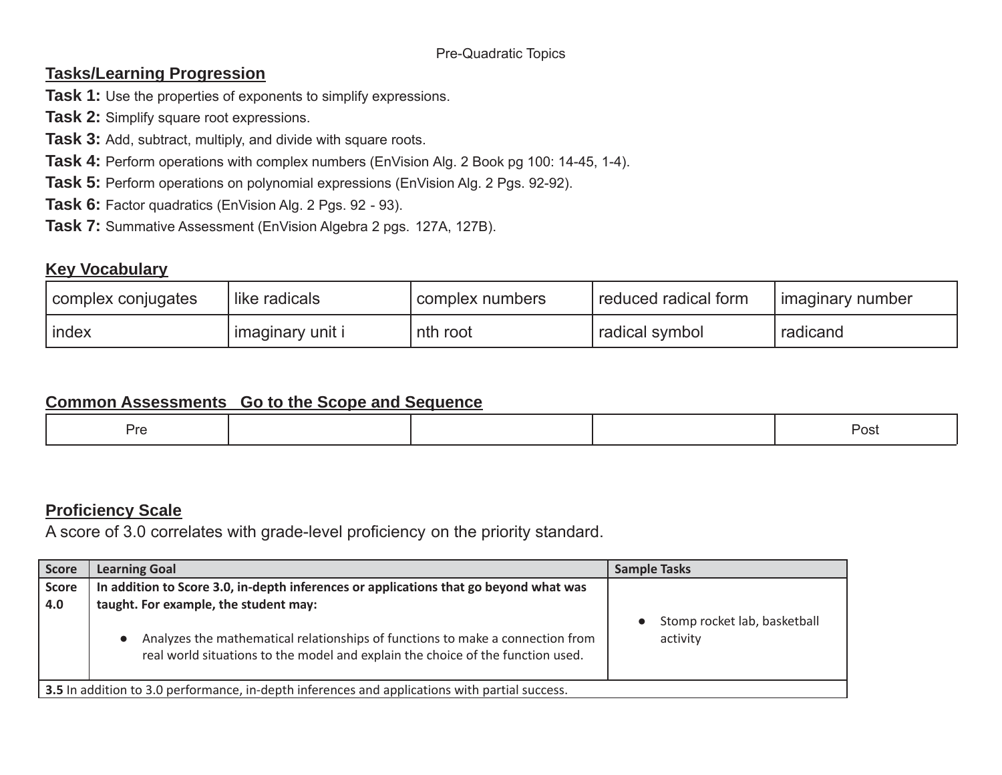### **Tasks/Learning Progression**

- **Task 1:** Use the properties of exponents to simplify expressions.
- **Task 2:** Simplify square root expressions.
- **Task 3:** Add, subtract, multiply, and divide with square roots.
- **Task 4:** Perform operations with complex numbers (EnVision Alg. 2 Book pg 100: 14-45, 1-4).
- **Task 5:** Perform operations on polynomial expressions (EnVision Alg. 2 Pgs. 92-92).
- **Task 6:** Factor quadratics (EnVision Alg. 2 Pgs. 92 93).
- **Task 7:** Summative Assessment (EnVision Algebra 2 pgs. 127A, 127B).

### **Key Vocabulary**

| complex conjugates | like radicals    | complex numbers | reduced radical form | l imaginary number |
|--------------------|------------------|-----------------|----------------------|--------------------|
| l index            | imaginary unit i | nth root        | radical symbol       | radicand           |

### **Common Assessments Go to the Scope and Sequence**

|  | ∕ • الل |  |  |  | $\sim$<br>.<br>POSI |
|--|---------|--|--|--|---------------------|
|--|---------|--|--|--|---------------------|

### **Proficiency Scale**

| Score        | <b>Learning Goal</b>                                                                                                                                              | <b>Sample Tasks</b>                      |
|--------------|-------------------------------------------------------------------------------------------------------------------------------------------------------------------|------------------------------------------|
| Score<br>4.0 | In addition to Score 3.0, in-depth inferences or applications that go beyond what was<br>taught. For example, the student may:                                    |                                          |
|              | Analyzes the mathematical relationships of functions to make a connection from<br>real world situations to the model and explain the choice of the function used. | Stomp rocket lab, basketball<br>activity |
|              | 3.5 In addition to 3.0 performance, in-depth inferences and applications with partial success.                                                                    |                                          |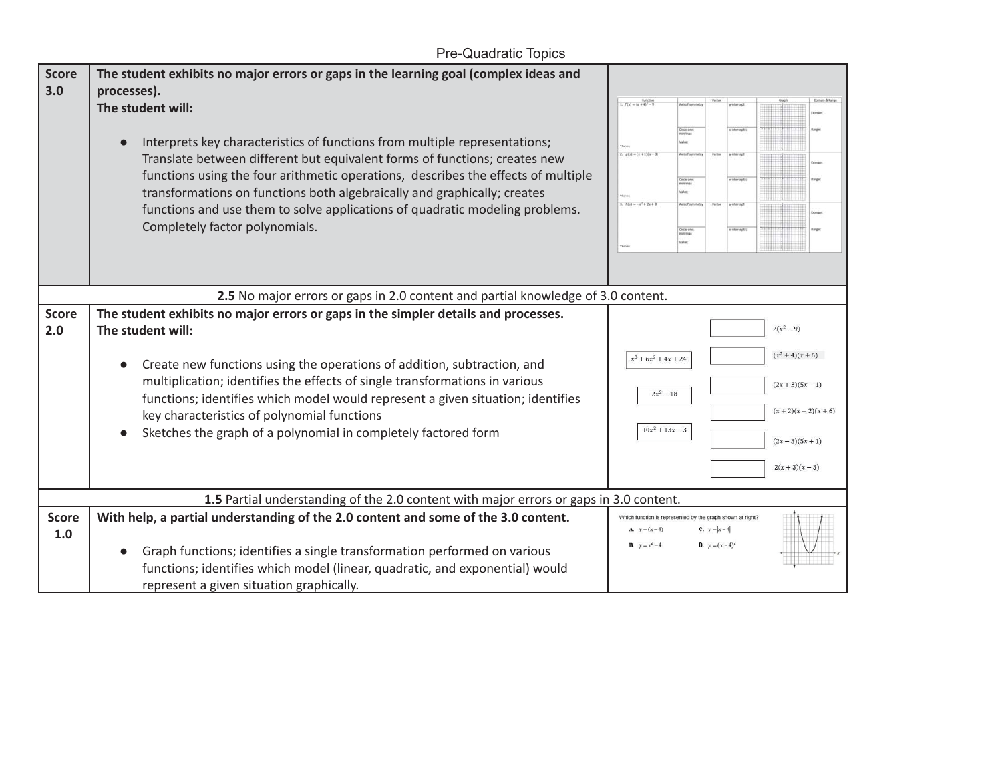### Pre-Quadratic Topics

| <b>Score</b><br>3.0 | The student exhibits no major errors or gaps in the learning goal (complex ideas and<br>processes).<br>The student will:<br>Interprets key characteristics of functions from multiple representations;<br>Translate between different but equivalent forms of functions; creates new<br>functions using the four arithmetic operations, describes the effects of multiple<br>transformations on functions both algebraically and graphically; creates<br>functions and use them to solve applications of quadratic modeling problems.<br>Completely factor polynomials. | $\frac{Factor}{1. f(x) = (x + 4)^2 - 9}$<br>Cecle core<br>nov/max<br>$g(x) = (x + 1)(x - 3)$<br>Circle one<br>$h(x) = -x^2 + 2x + 0$<br>Critie one:<br>min/max       |
|---------------------|-------------------------------------------------------------------------------------------------------------------------------------------------------------------------------------------------------------------------------------------------------------------------------------------------------------------------------------------------------------------------------------------------------------------------------------------------------------------------------------------------------------------------------------------------------------------------|----------------------------------------------------------------------------------------------------------------------------------------------------------------------|
|                     | 2.5 No major errors or gaps in 2.0 content and partial knowledge of 3.0 content.                                                                                                                                                                                                                                                                                                                                                                                                                                                                                        |                                                                                                                                                                      |
| <b>Score</b><br>2.0 | The student exhibits no major errors or gaps in the simpler details and processes.<br>The student will:<br>Create new functions using the operations of addition, subtraction, and<br>multiplication; identifies the effects of single transformations in various<br>functions; identifies which model would represent a given situation; identifies<br>key characteristics of polynomial functions<br>Sketches the graph of a polynomial in completely factored form                                                                                                   | $2(x^2-9)$<br>$(x^2+4)(x+6)$<br>$x^3 + 6x^2 + 4x + 24$<br>$(2x+3)(5x-1)$<br>$2x^2 - 18$<br>$(x+2)(x-2)(x+6)$<br>$10x^2 + 13x - 3$<br>$(2x-3)(5x+1)$<br>$2(x+3)(x-3)$ |
| <b>Score</b><br>1.0 | 1.5 Partial understanding of the 2.0 content with major errors or gaps in 3.0 content.<br>With help, a partial understanding of the 2.0 content and some of the 3.0 content.<br>Graph functions; identifies a single transformation performed on various<br>functions; identifies which model (linear, quadratic, and exponential) would<br>represent a given situation graphically.                                                                                                                                                                                    | Which function is represented by the graph shown at right?<br>A. $y = (x-4)$<br><b>C.</b> $y =  x - 4 $<br><b>B.</b> $y = x^2 - 4$<br><b>D.</b> $y = (x-4)^2$        |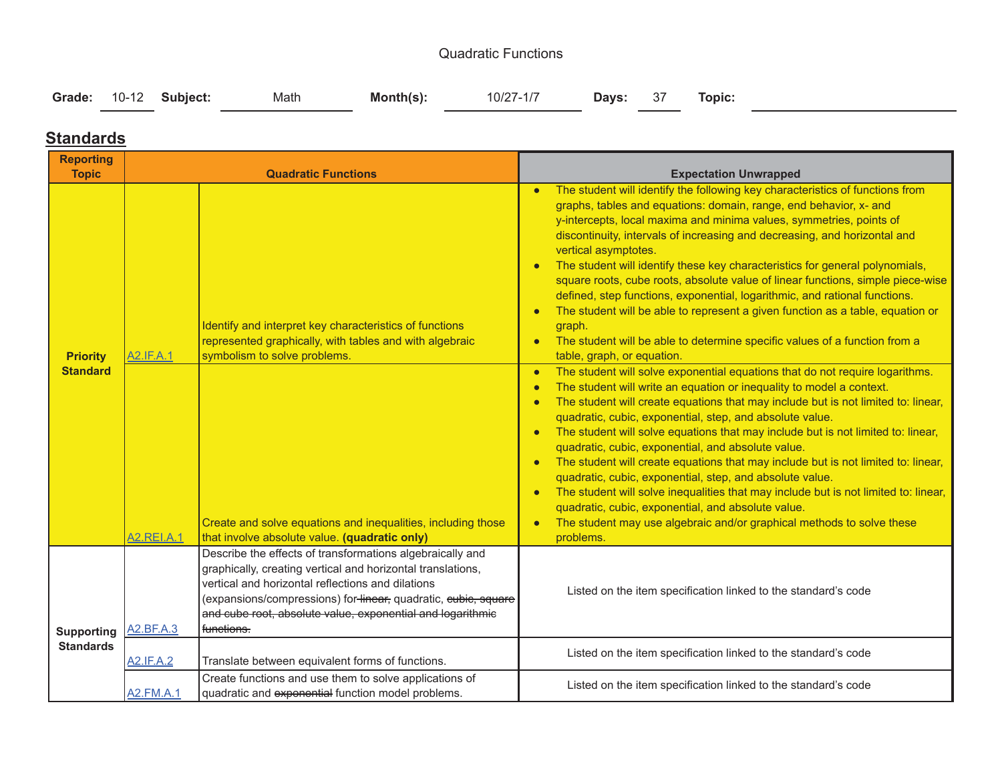#### Quadratic Functions

| Grade: 10-12 Subject:<br>Month(s):<br>Math | 10/27-1/7 <b>Days: 37 Topic:</b> |
|--------------------------------------------|----------------------------------|
|--------------------------------------------|----------------------------------|

### **Standards**

| <b>Reporting</b><br><b>Topic</b>   |                                | <b>Quadratic Functions</b>                                                                                                                                                                                                                                                                                                  | <b>Expectation Unwrapped</b>                                                                                                                                                                                                                                                                                                                                                                                                                                                                                                                                                                                                                                                                                                                                                                                                                                                                                                                                                                                                                                                                                                                                                                                                                                                                                                                                                                                                                                                                                                                                                                                                                                                                                                           |  |  |  |
|------------------------------------|--------------------------------|-----------------------------------------------------------------------------------------------------------------------------------------------------------------------------------------------------------------------------------------------------------------------------------------------------------------------------|----------------------------------------------------------------------------------------------------------------------------------------------------------------------------------------------------------------------------------------------------------------------------------------------------------------------------------------------------------------------------------------------------------------------------------------------------------------------------------------------------------------------------------------------------------------------------------------------------------------------------------------------------------------------------------------------------------------------------------------------------------------------------------------------------------------------------------------------------------------------------------------------------------------------------------------------------------------------------------------------------------------------------------------------------------------------------------------------------------------------------------------------------------------------------------------------------------------------------------------------------------------------------------------------------------------------------------------------------------------------------------------------------------------------------------------------------------------------------------------------------------------------------------------------------------------------------------------------------------------------------------------------------------------------------------------------------------------------------------------|--|--|--|
| <b>Priority</b><br><b>Standard</b> | A2.IF.A.1<br><b>A2.REI.A.1</b> | Identify and interpret key characteristics of functions<br>represented graphically, with tables and with algebraic<br>symbolism to solve problems.<br>Create and solve equations and inequalities, including those<br>that involve absolute value. (quadratic only)                                                         | The student will identify the following key characteristics of functions from<br>graphs, tables and equations: domain, range, end behavior, x- and<br>y-intercepts, local maxima and minima values, symmetries, points of<br>discontinuity, intervals of increasing and decreasing, and horizontal and<br>vertical asymptotes.<br>The student will identify these key characteristics for general polynomials,<br>$\bullet$<br>square roots, cube roots, absolute value of linear functions, simple piece-wise<br>defined, step functions, exponential, logarithmic, and rational functions.<br>The student will be able to represent a given function as a table, equation or<br>graph.<br>The student will be able to determine specific values of a function from a<br>$\bullet$<br>table, graph, or equation.<br>The student will solve exponential equations that do not require logarithms.<br>$\bullet$<br>The student will write an equation or inequality to model a context.<br>$\bullet$<br>The student will create equations that may include but is not limited to: linear,<br>$\bullet$<br>quadratic, cubic, exponential, step, and absolute value.<br>The student will solve equations that may include but is not limited to: linear,<br>$\bullet$<br>quadratic, cubic, exponential, and absolute value.<br>The student will create equations that may include but is not limited to: linear,<br>quadratic, cubic, exponential, step, and absolute value.<br>The student will solve inequalities that may include but is not limited to: linear,<br>$\bullet$<br>quadratic, cubic, exponential, and absolute value.<br>The student may use algebraic and/or graphical methods to solve these<br>$\bullet$<br>problems. |  |  |  |
| <b>Supporting</b>                  | A2.BF.A.3                      | Describe the effects of transformations algebraically and<br>graphically, creating vertical and horizontal translations,<br>vertical and horizontal reflections and dilations<br>(expansions/compressions) for linear, quadratic, eubie, square<br>and cube root, absolute value, exponential and logarithmic<br>functions. | Listed on the item specification linked to the standard's code                                                                                                                                                                                                                                                                                                                                                                                                                                                                                                                                                                                                                                                                                                                                                                                                                                                                                                                                                                                                                                                                                                                                                                                                                                                                                                                                                                                                                                                                                                                                                                                                                                                                         |  |  |  |
| <b>Standards</b>                   | <b>A2.IF.A.2</b>               | Translate between equivalent forms of functions.                                                                                                                                                                                                                                                                            | Listed on the item specification linked to the standard's code                                                                                                                                                                                                                                                                                                                                                                                                                                                                                                                                                                                                                                                                                                                                                                                                                                                                                                                                                                                                                                                                                                                                                                                                                                                                                                                                                                                                                                                                                                                                                                                                                                                                         |  |  |  |
|                                    | <b>A2.FM.A.1</b>               | Create functions and use them to solve applications of<br>quadratic and exponential function model problems.                                                                                                                                                                                                                | Listed on the item specification linked to the standard's code                                                                                                                                                                                                                                                                                                                                                                                                                                                                                                                                                                                                                                                                                                                                                                                                                                                                                                                                                                                                                                                                                                                                                                                                                                                                                                                                                                                                                                                                                                                                                                                                                                                                         |  |  |  |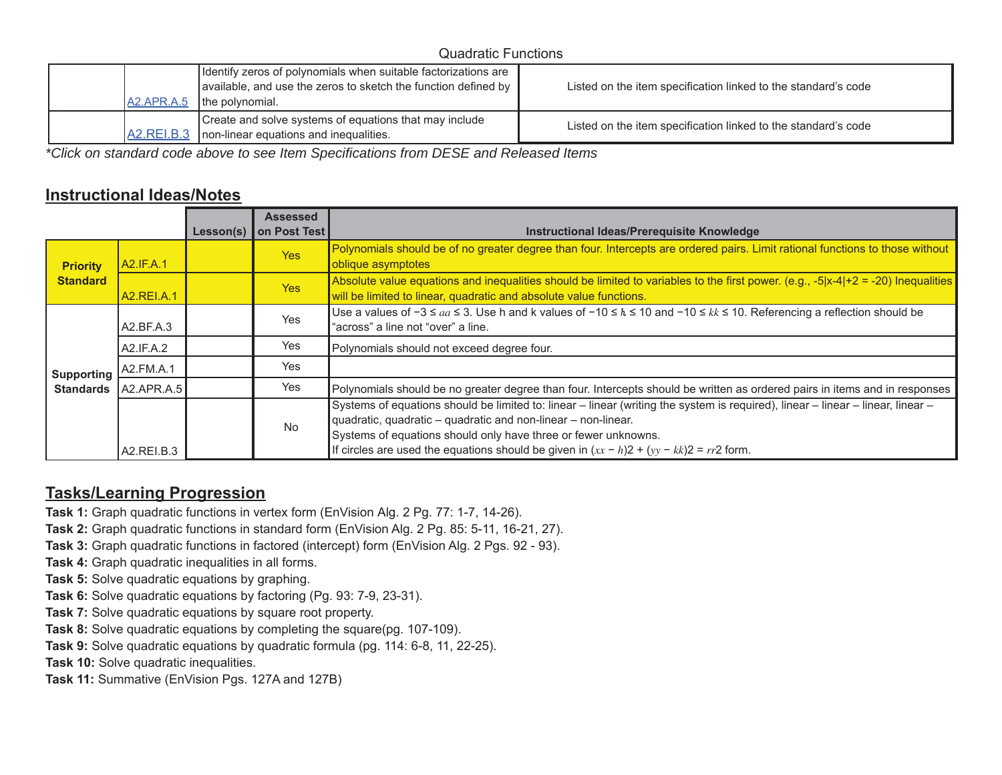#### Quadratic Functions

| A2.APR.A.5         | Identify zeros of polynomials when suitable factorizations are<br>$\vert$ available, and use the zeros to sketch the function defined by $\vert \vert$<br>the polynomial. | Listed on the item specification linked to the standard's code |
|--------------------|---------------------------------------------------------------------------------------------------------------------------------------------------------------------------|----------------------------------------------------------------|
| <b>JA2.REI.B.3</b> | Create and solve systems of equations that may include<br>non-linear equations and inequalities.                                                                          | Listed on the item specification linked to the standard's code |

*\*Click on standard code above to see Item Specifications from DESE and Released Items*

### **Instructional Ideas/Notes**

|                                    |              | Lesson(s) | <b>Assessed</b><br>on Post Test | Instructional Ideas/Prerequisite Knowledge                                                                                                                                                                                                                                                                                                                      |
|------------------------------------|--------------|-----------|---------------------------------|-----------------------------------------------------------------------------------------------------------------------------------------------------------------------------------------------------------------------------------------------------------------------------------------------------------------------------------------------------------------|
| <b>Priority</b><br><b>Standard</b> | A2.IF.A.1    |           | <b>Yes</b>                      | Polynomials should be of no greater degree than four. Intercepts are ordered pairs. Limit rational functions to those without<br>oblique asymptotes                                                                                                                                                                                                             |
|                                    | A2.REI.A.1   |           | <b>Yes</b>                      | Absolute value equations and inequalities should be limited to variables to the first power. (e.g., -5 x-4 +2 = -20) Inequalities<br>will be limited to linear, quadratic and absolute value functions.                                                                                                                                                         |
| Supporting                         | A2.BF.A.3    | Yes       |                                 | Use a values of $-3 \le aa \le 3$ . Use h and k values of $-10 \le h \le 10$ and $-10 \le k \le 10$ . Referencing a reflection should be<br>"across" a line not "over" a line.                                                                                                                                                                                  |
|                                    | A2.IF.A.2    |           | Yes                             | Polynomials should not exceed degree four.                                                                                                                                                                                                                                                                                                                      |
|                                    | A2.FM.A.1    |           | Yes                             |                                                                                                                                                                                                                                                                                                                                                                 |
| <b>Standards</b>                   | [A2,APR.A.5] |           | Yes                             | Polynomials should be no greater degree than four. Intercepts should be written as ordered pairs in items and in responses                                                                                                                                                                                                                                      |
|                                    | A2.REI.B.3   |           | <b>No</b>                       | Systems of equations should be limited to: linear – linear (writing the system is required), linear – linear – linear, linear –<br>quadratic, quadratic - quadratic and non-linear - non-linear.<br>Systems of equations should only have three or fewer unknowns.<br>If circles are used the equations should be given in $(xx - h)2 + (yy - kk)2 = rr2$ form. |

### **Tasks/Learning Progression**

- **Task 1:** Graph quadratic functions in vertex form (EnVision Alg. 2 Pg. 77: 1-7, 14-26).
- **Task 2:** Graph quadratic functions in standard form (EnVision Alg. 2 Pg. 85: 5-11, 16-21, 27).
- **Task 3:** Graph quadratic functions in factored (intercept) form (EnVision Alg. 2 Pgs. 92 93).
- **Task 4:** Graph quadratic inequalities in all forms.
- **Task 5:** Solve quadratic equations by graphing.
- **Task 6:** Solve quadratic equations by factoring (Pg. 93: 7-9, 23-31).
- **Task 7:** Solve quadratic equations by square root property.
- **Task 8:** Solve quadratic equations by completing the square(pg. 107-109).
- **Task 9:** Solve quadratic equations by quadratic formula (pg. 114: 6-8, 11, 22-25).
- **Task 10:** Solve quadratic inequalities.
- **Task 11:** Summative (EnVision Pgs. 127A and 127B)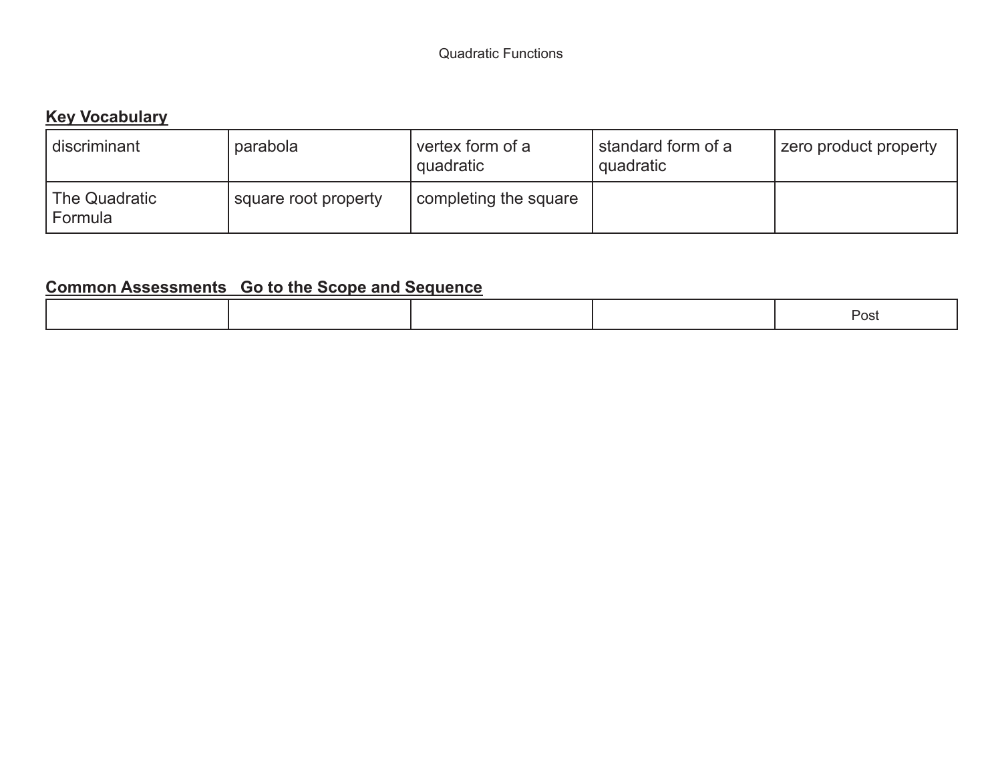## **Key Vocabulary**

| discriminant             | parabola             | vertex form of a<br>quadratic | standard form of a<br>  quadratic | zero product property |
|--------------------------|----------------------|-------------------------------|-----------------------------------|-----------------------|
| The Quadratic<br>Formula | square root property | completing the square         |                                   |                       |

| $\overline{\mathbf{u}}$<br>. |
|------------------------------|
|------------------------------|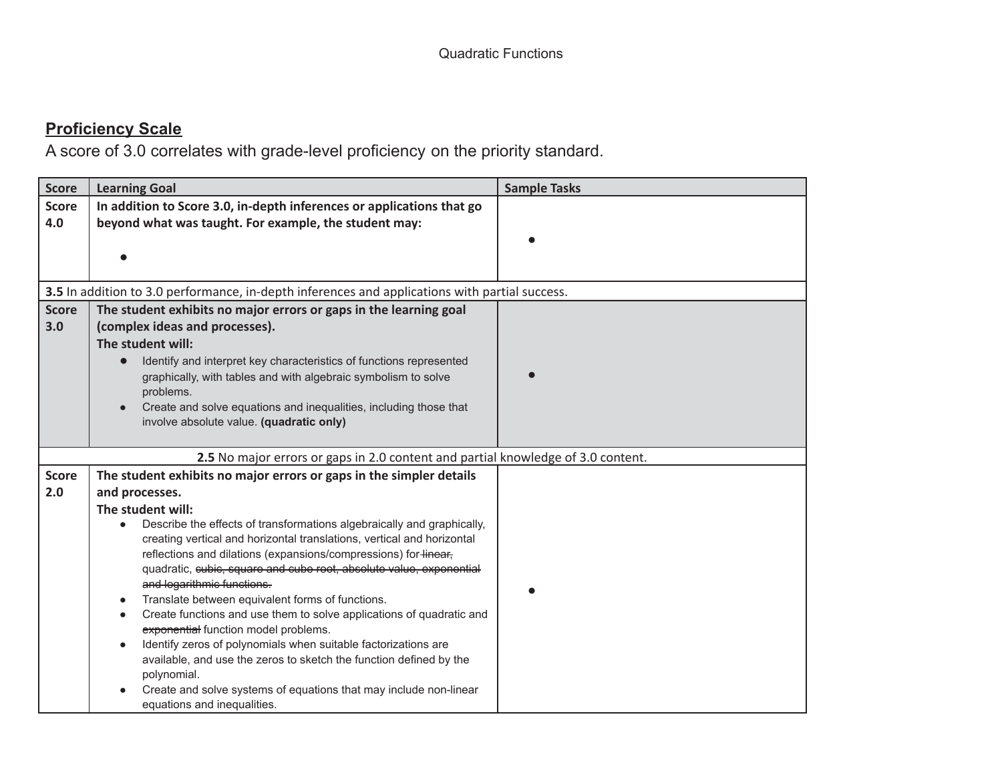| <b>Score</b>        | <b>Learning Goal</b>                                                                                                                                                                                                                                                                                                                                                                                                                                                                                                                                                                                                                                                                                                                                    | <b>Sample Tasks</b> |
|---------------------|---------------------------------------------------------------------------------------------------------------------------------------------------------------------------------------------------------------------------------------------------------------------------------------------------------------------------------------------------------------------------------------------------------------------------------------------------------------------------------------------------------------------------------------------------------------------------------------------------------------------------------------------------------------------------------------------------------------------------------------------------------|---------------------|
| <b>Score</b><br>4.0 | In addition to Score 3.0, in-depth inferences or applications that go<br>beyond what was taught. For example, the student may:                                                                                                                                                                                                                                                                                                                                                                                                                                                                                                                                                                                                                          |                     |
|                     |                                                                                                                                                                                                                                                                                                                                                                                                                                                                                                                                                                                                                                                                                                                                                         |                     |
|                     | 3.5 In addition to 3.0 performance, in-depth inferences and applications with partial success.                                                                                                                                                                                                                                                                                                                                                                                                                                                                                                                                                                                                                                                          |                     |
| <b>Score</b><br>3.0 | The student exhibits no major errors or gaps in the learning goal<br>(complex ideas and processes).<br>The student will:<br>Identify and interpret key characteristics of functions represented<br>$\bullet$<br>graphically, with tables and with algebraic symbolism to solve<br>problems.<br>Create and solve equations and inequalities, including those that<br>involve absolute value. (quadratic only)                                                                                                                                                                                                                                                                                                                                            |                     |
|                     | 2.5 No major errors or gaps in 2.0 content and partial knowledge of 3.0 content.                                                                                                                                                                                                                                                                                                                                                                                                                                                                                                                                                                                                                                                                        |                     |
| <b>Score</b>        | The student exhibits no major errors or gaps in the simpler details                                                                                                                                                                                                                                                                                                                                                                                                                                                                                                                                                                                                                                                                                     |                     |
| 2.0                 | and processes.                                                                                                                                                                                                                                                                                                                                                                                                                                                                                                                                                                                                                                                                                                                                          |                     |
|                     | The student will:                                                                                                                                                                                                                                                                                                                                                                                                                                                                                                                                                                                                                                                                                                                                       |                     |
|                     | Describe the effects of transformations algebraically and graphically,<br>creating vertical and horizontal translations, vertical and horizontal<br>reflections and dilations (expansions/compressions) for linear,<br>quadratic, eubie, square and cube root, absolute value, exponential<br>and logarithmic functions.<br>Translate between equivalent forms of functions.<br>Create functions and use them to solve applications of quadratic and<br>exponential function model problems.<br>Identify zeros of polynomials when suitable factorizations are<br>available, and use the zeros to sketch the function defined by the<br>polynomial.<br>Create and solve systems of equations that may include non-linear<br>equations and inequalities. |                     |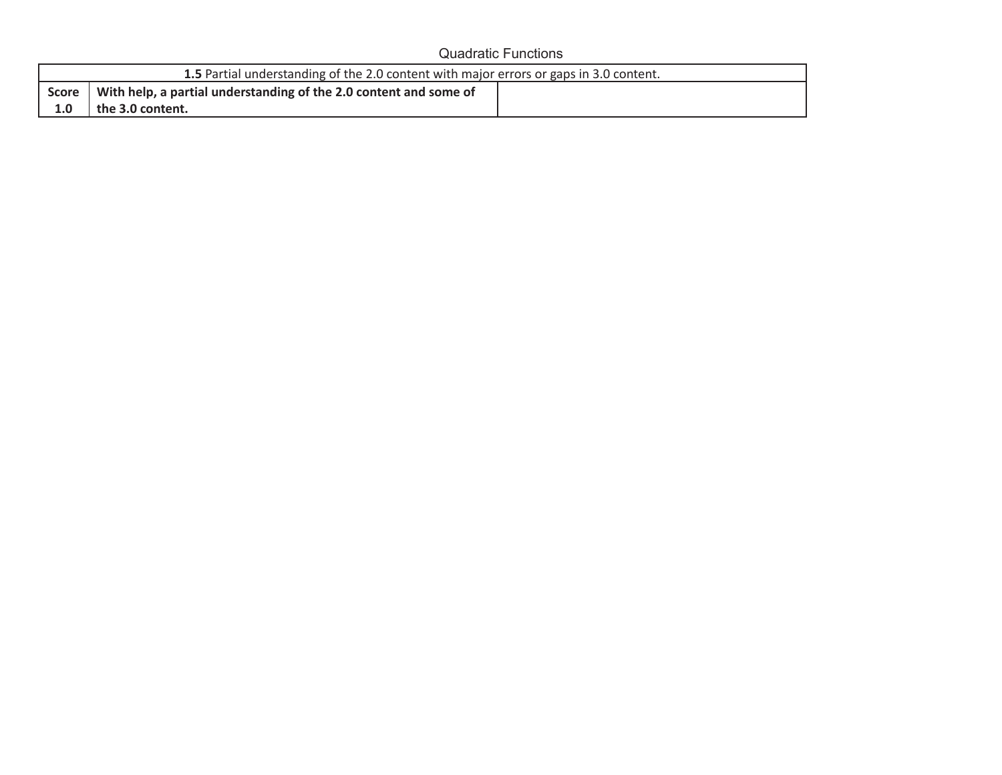#### Quadratic Functions

|     | 1.5 Partial understanding of the 2.0 content with major errors or gaps in 3.0 content. |  |
|-----|----------------------------------------------------------------------------------------|--|
|     | Score   With help, a partial understanding of the 2.0 content and some of              |  |
| 1.0 | the 3.0 content.                                                                       |  |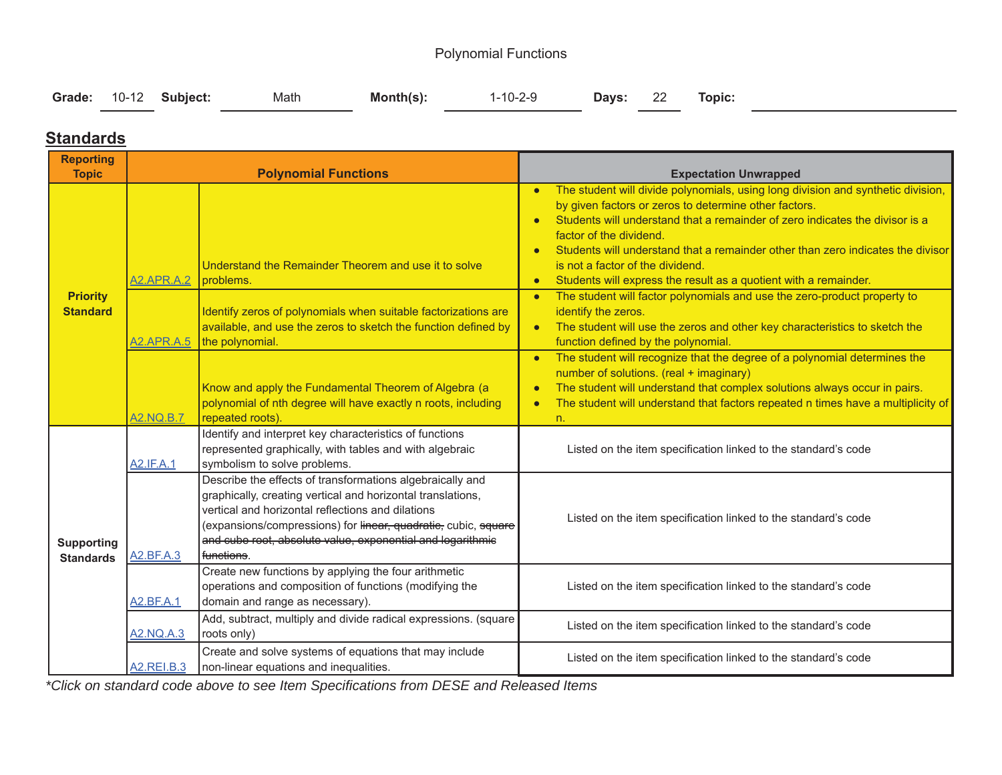### Polynomial Functions

|  |  | Grade: 10-12 Subject: | Math | <b>Month(s):</b> 1-10-2-9 <b>Days:</b> 22 Topic: |  |  |  |  |
|--|--|-----------------------|------|--------------------------------------------------|--|--|--|--|
|--|--|-----------------------|------|--------------------------------------------------|--|--|--|--|

#### **Standards**

| <b>Reporting</b>                      |                                        |                                                                                                                                                                                                                                                                                                                                          |                                                                                                                                                                                                                                                                                                                                                                                                                                                                                                                                                                                                                                                                                      |
|---------------------------------------|----------------------------------------|------------------------------------------------------------------------------------------------------------------------------------------------------------------------------------------------------------------------------------------------------------------------------------------------------------------------------------------|--------------------------------------------------------------------------------------------------------------------------------------------------------------------------------------------------------------------------------------------------------------------------------------------------------------------------------------------------------------------------------------------------------------------------------------------------------------------------------------------------------------------------------------------------------------------------------------------------------------------------------------------------------------------------------------|
| <b>Topic</b>                          |                                        | <b>Polynomial Functions</b>                                                                                                                                                                                                                                                                                                              | <b>Expectation Unwrapped</b>                                                                                                                                                                                                                                                                                                                                                                                                                                                                                                                                                                                                                                                         |
| <b>Priority</b><br><b>Standard</b>    | <b>A2.APR.A.2</b><br><b>A2.APR.A.5</b> | Understand the Remainder Theorem and use it to solve<br>problems.<br>Identify zeros of polynomials when suitable factorizations are<br>available, and use the zeros to sketch the function defined by                                                                                                                                    | The student will divide polynomials, using long division and synthetic division,<br>$\bullet$<br>by given factors or zeros to determine other factors.<br>Students will understand that a remainder of zero indicates the divisor is a<br>factor of the dividend.<br>Students will understand that a remainder other than zero indicates the divisor<br>is not a factor of the dividend.<br>Students will express the result as a quotient with a remainder.<br>$\bullet$<br>The student will factor polynomials and use the zero-product property to<br>$\bullet$<br>identify the zeros.<br>The student will use the zeros and other key characteristics to sketch the<br>$\bullet$ |
|                                       | A2.NQ.B.7                              | the polynomial.<br>Know and apply the Fundamental Theorem of Algebra (a<br>polynomial of nth degree will have exactly n roots, including<br>repeated roots).                                                                                                                                                                             | function defined by the polynomial.<br>The student will recognize that the degree of a polynomial determines the<br>$\bullet$<br>number of solutions. (real + imaginary)<br>The student will understand that complex solutions always occur in pairs.<br>$\bullet$<br>The student will understand that factors repeated n times have a multiplicity of<br>n.                                                                                                                                                                                                                                                                                                                         |
|                                       | <b>A2.IF.A.1</b>                       | Identify and interpret key characteristics of functions<br>represented graphically, with tables and with algebraic<br>symbolism to solve problems.                                                                                                                                                                                       | Listed on the item specification linked to the standard's code                                                                                                                                                                                                                                                                                                                                                                                                                                                                                                                                                                                                                       |
| <b>Supporting</b><br><b>Standards</b> | A2.BF.A.3                              | Describe the effects of transformations algebraically and<br>graphically, creating vertical and horizontal translations,<br>vertical and horizontal reflections and dilations<br>(expansions/compressions) for linear, quadratie, cubic, square<br>and cube root, absolute value, exponential and logarithmic<br>f <del>unctions</del> . | Listed on the item specification linked to the standard's code                                                                                                                                                                                                                                                                                                                                                                                                                                                                                                                                                                                                                       |
|                                       | <b>A2.BF.A.1</b>                       | Create new functions by applying the four arithmetic<br>operations and composition of functions (modifying the<br>domain and range as necessary).                                                                                                                                                                                        | Listed on the item specification linked to the standard's code                                                                                                                                                                                                                                                                                                                                                                                                                                                                                                                                                                                                                       |
|                                       | <b>A2.NQ.A.3</b>                       | Add, subtract, multiply and divide radical expressions. (square<br>roots only)                                                                                                                                                                                                                                                           | Listed on the item specification linked to the standard's code                                                                                                                                                                                                                                                                                                                                                                                                                                                                                                                                                                                                                       |
|                                       | A2.REI.B.3                             | Create and solve systems of equations that may include<br>non-linear equations and inequalities.                                                                                                                                                                                                                                         | Listed on the item specification linked to the standard's code                                                                                                                                                                                                                                                                                                                                                                                                                                                                                                                                                                                                                       |

*\*Click on standard code above to see Item Specifications from DESE and Released Items*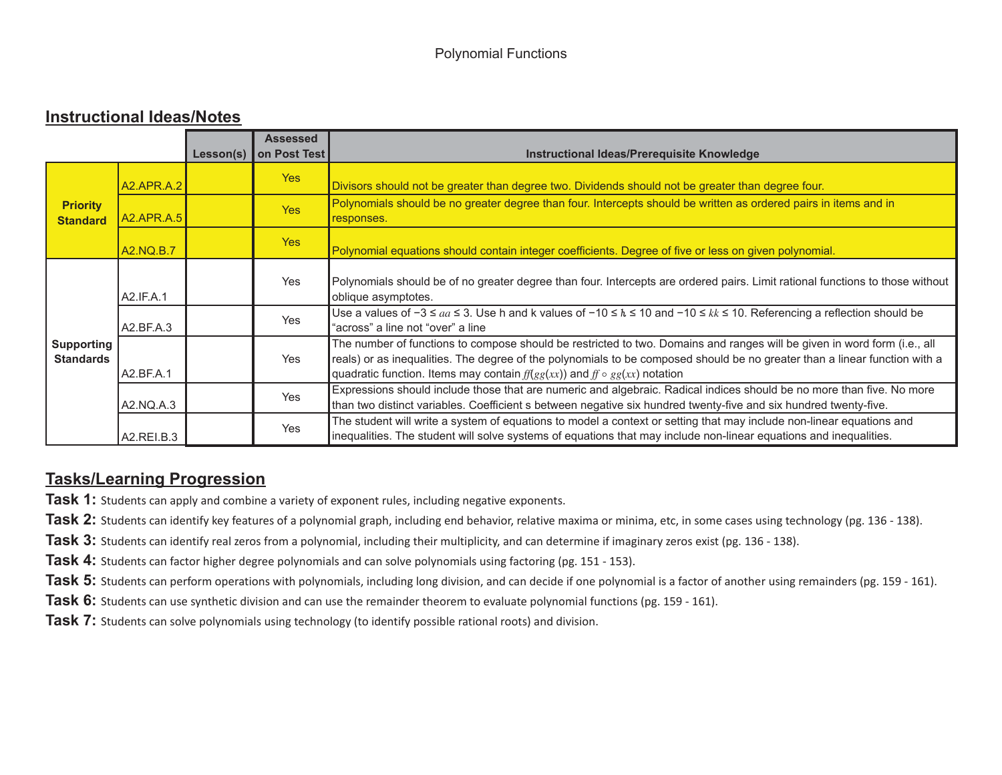#### **Instructional Ideas/Notes**

|                                       |                   | Lesson(s) | <b>Assessed</b><br>on Post Test | Instructional Ideas/Prerequisite Knowledge                                                                                                                                                                                                                                                                                                  |
|---------------------------------------|-------------------|-----------|---------------------------------|---------------------------------------------------------------------------------------------------------------------------------------------------------------------------------------------------------------------------------------------------------------------------------------------------------------------------------------------|
|                                       | <b>A2.APR.A.2</b> |           | Yes                             | Divisors should not be greater than degree two. Dividends should not be greater than degree four.                                                                                                                                                                                                                                           |
| <b>Priority</b><br><b>Standard</b>    | <b>A2.APR.A.5</b> |           | <b>Yes</b>                      | Polynomials should be no greater degree than four. Intercepts should be written as ordered pairs in items and in<br>responses.                                                                                                                                                                                                              |
|                                       | A2.NQ.B.7         |           | <b>Yes</b>                      | Polynomial equations should contain integer coefficients. Degree of five or less on given polynomial.                                                                                                                                                                                                                                       |
|                                       | A2.IF.A.1         |           | Yes                             | Polynomials should be of no greater degree than four. Intercepts are ordered pairs. Limit rational functions to those without<br>oblique asymptotes.                                                                                                                                                                                        |
|                                       | A2.BF.A.3         |           | Yes                             | Use a values of $-3 \leq aa \leq 3$ . Use h and k values of $-10 \leq k \leq 10$ and $-10 \leq kk \leq 10$ . Referencing a reflection should be<br>"across" a line not "over" a line                                                                                                                                                        |
| <b>Supporting</b><br><b>Standards</b> | A2.BF.A.1         |           | Yes                             | The number of functions to compose should be restricted to two. Domains and ranges will be given in word form (i.e., all<br>reals) or as inequalities. The degree of the polynomials to be composed should be no greater than a linear function with a<br>quadratic function. Items may contain $f(f(gg(xx))$ and $f \circ gg(xx)$ notation |
|                                       | A2.NO.A.3         |           | Yes                             | Expressions should include those that are numeric and algebraic. Radical indices should be no more than five. No more<br>than two distinct variables. Coefficient s between negative six hundred twenty-five and six hundred twenty-five.                                                                                                   |
|                                       | A2.REI.B.3        |           | Yes                             | The student will write a system of equations to model a context or setting that may include non-linear equations and<br>inequalities. The student will solve systems of equations that may include non-linear equations and inequalities.                                                                                                   |

### **Tasks/Learning Progression**

**Task 1:** Students can apply and combine a variety of exponent rules, including negative exponents.

**Task 2:** Students can identify key features of a polynomial graph, including end behavior, relative maxima or minima, etc, in some cases using technology (pg. 136 - 138).

**Task 3:** Students can identify real zeros from a polynomial, including their multiplicity, and can determine if imaginary zeros exist (pg. 136 - 138).

**Task 4:** Students can factor higher degree polynomials and can solve polynomials using factoring (pg. 151 - 153).

**Task 5:** Students can perform operations with polynomials, including long division, and can decide if one polynomial is a factor of another using remainders (pg. 159 - 161).

**Task 6:** Students can use synthetic division and can use the remainder theorem to evaluate polynomial functions (pg. 159 - 161).

**Task 7:** Students can solve polynomials using technology (to identify possible rational roots) and division.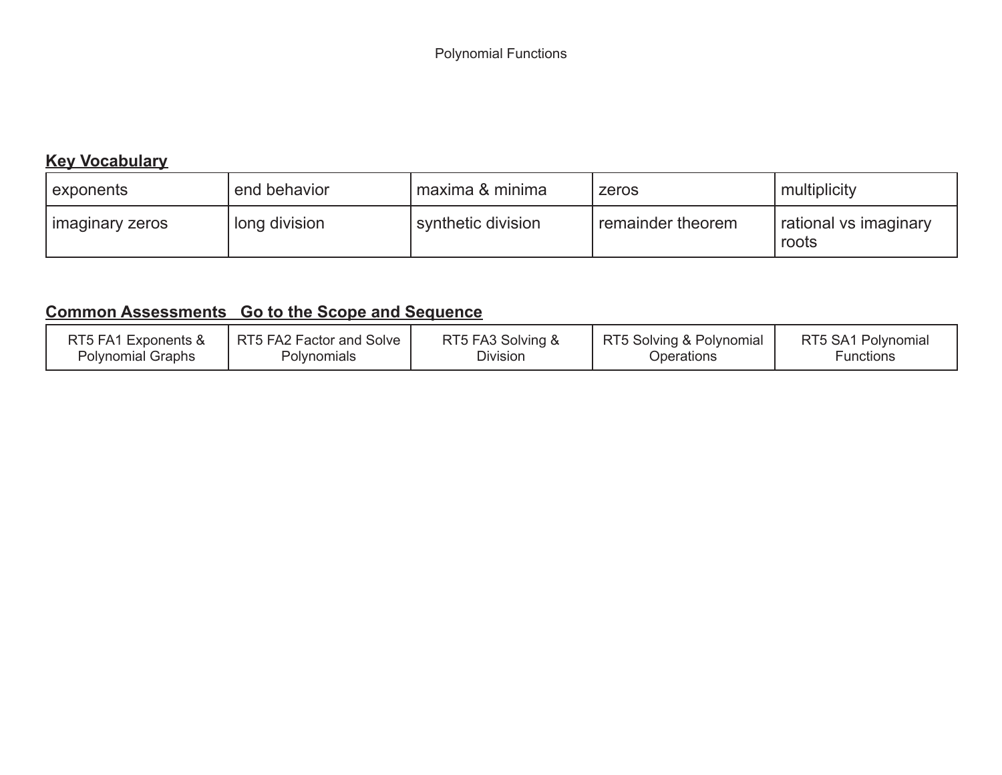## **Key Vocabulary**

| exponents       | end behavior  | l maxima & minima  | zeros               | multiplicity                   |
|-----------------|---------------|--------------------|---------------------|--------------------------------|
| imaginary zeros | long division | synthetic division | I remainder theorem | rational vs imaginary<br>roots |

| RT5 FA1 Exponents &      | RT5 FA2 Factor and Solve | RT5 FA3 Solving & | RT5 Solving & Polynomial | RT5 SA1 Polynomial |
|--------------------------|--------------------------|-------------------|--------------------------|--------------------|
| <b>Polynomial Graphs</b> | Polynomials              | Division          | Operations               | <b>Functions</b>   |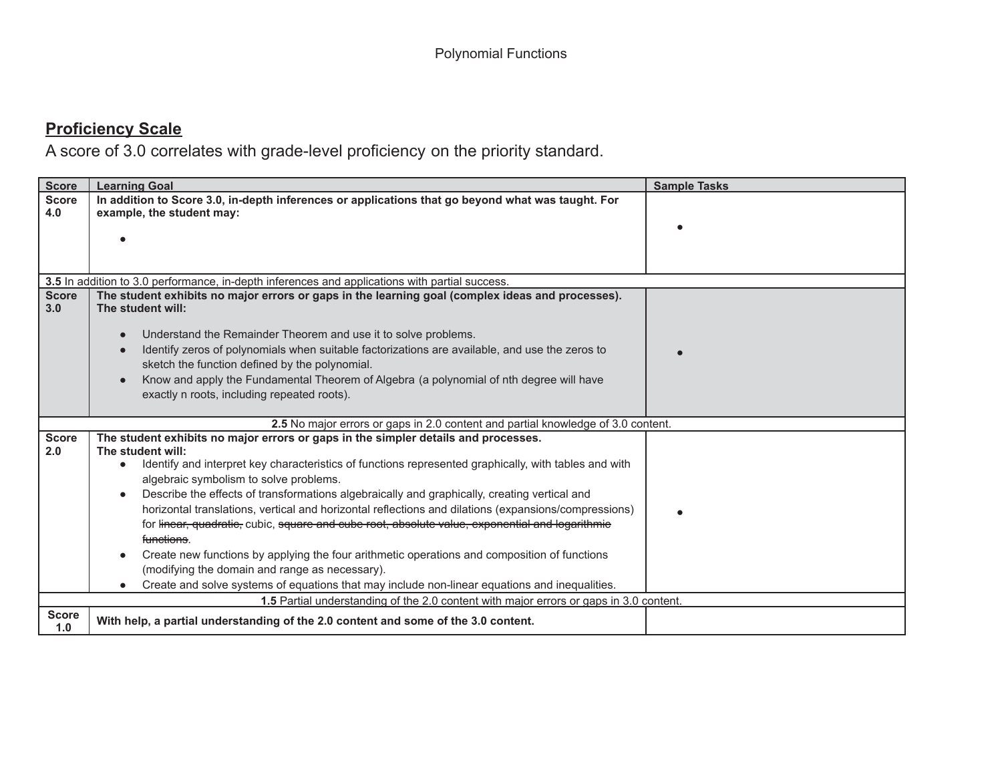| <b>Score</b>        | <b>Learning Goal</b>                                                                                               | <b>Sample Tasks</b> |
|---------------------|--------------------------------------------------------------------------------------------------------------------|---------------------|
| <b>Score</b>        | In addition to Score 3.0, in-depth inferences or applications that go beyond what was taught. For                  |                     |
| 4.0                 | example, the student may:                                                                                          |                     |
|                     |                                                                                                                    |                     |
|                     |                                                                                                                    |                     |
|                     |                                                                                                                    |                     |
|                     | 3.5 In addition to 3.0 performance, in-depth inferences and applications with partial success.                     |                     |
| <b>Score</b>        | The student exhibits no major errors or gaps in the learning goal (complex ideas and processes).                   |                     |
| 3.0                 | The student will:                                                                                                  |                     |
|                     | Understand the Remainder Theorem and use it to solve problems.                                                     |                     |
|                     | Identify zeros of polynomials when suitable factorizations are available, and use the zeros to                     |                     |
|                     | sketch the function defined by the polynomial.                                                                     |                     |
|                     | Know and apply the Fundamental Theorem of Algebra (a polynomial of nth degree will have                            |                     |
|                     | exactly n roots, including repeated roots).                                                                        |                     |
|                     |                                                                                                                    |                     |
|                     | 2.5 No major errors or gaps in 2.0 content and partial knowledge of 3.0 content.                                   |                     |
| <b>Score</b><br>2.0 | The student exhibits no major errors or gaps in the simpler details and processes.<br>The student will:            |                     |
|                     | Identify and interpret key characteristics of functions represented graphically, with tables and with<br>$\bullet$ |                     |
|                     | algebraic symbolism to solve problems.                                                                             |                     |
|                     | Describe the effects of transformations algebraically and graphically, creating vertical and                       |                     |
|                     | horizontal translations, vertical and horizontal reflections and dilations (expansions/compressions)               |                     |
|                     | for linear, quadratic, cubic, square and cube root, absolute value, exponential and logarithmic                    |                     |
|                     | functions.                                                                                                         |                     |
|                     | Create new functions by applying the four arithmetic operations and composition of functions                       |                     |
|                     | (modifying the domain and range as necessary).                                                                     |                     |
|                     | Create and solve systems of equations that may include non-linear equations and inequalities.                      |                     |
|                     | 1.5 Partial understanding of the 2.0 content with major errors or gaps in 3.0 content.                             |                     |
| <b>Score</b><br>1.0 | With help, a partial understanding of the 2.0 content and some of the 3.0 content.                                 |                     |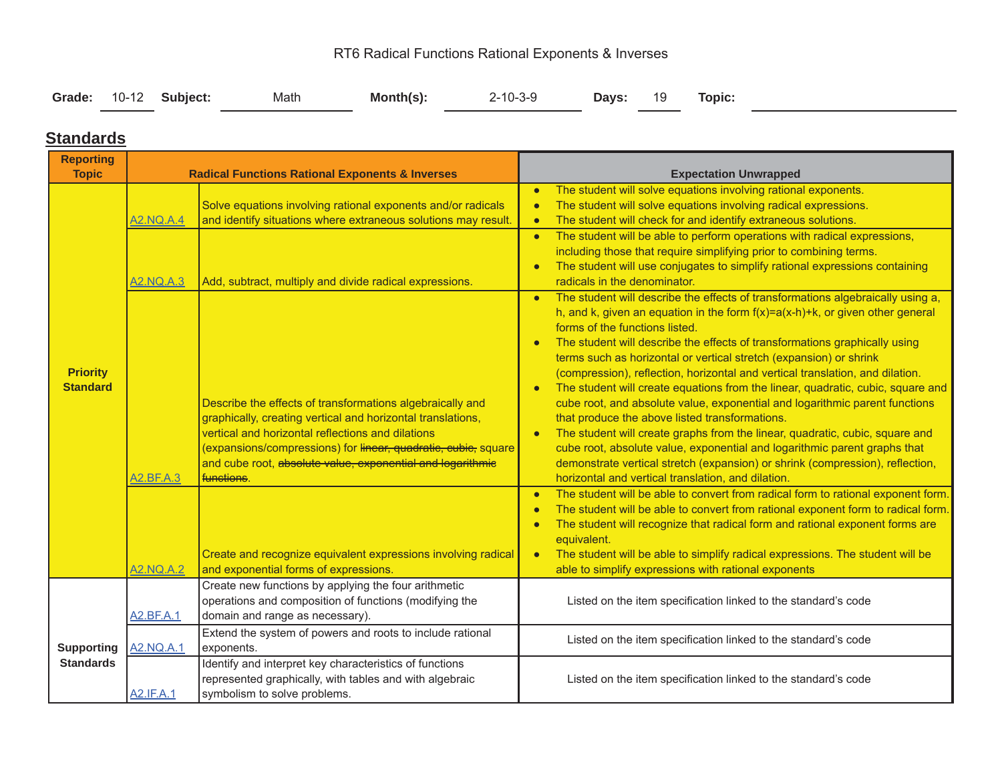## RT6 Radical Functions Rational Exponents & Inverses

|  |  | Grade: 10-12 Subject: | Math | $Month(s)$ : | $2 - 10 - 3 - 9$ |  |  | Days: 19 Topic: |  |
|--|--|-----------------------|------|--------------|------------------|--|--|-----------------|--|
|--|--|-----------------------|------|--------------|------------------|--|--|-----------------|--|

#### **Standards**

| <b>Reporting</b>                   |                               |                                                                                                                                                                                                                                                                                                               |                                                                                                                                                                                                                                                                                                                                                                                                                                                                                                                                                                                                                                                                                                                                                                                                                                                                                                                                                     |
|------------------------------------|-------------------------------|---------------------------------------------------------------------------------------------------------------------------------------------------------------------------------------------------------------------------------------------------------------------------------------------------------------|-----------------------------------------------------------------------------------------------------------------------------------------------------------------------------------------------------------------------------------------------------------------------------------------------------------------------------------------------------------------------------------------------------------------------------------------------------------------------------------------------------------------------------------------------------------------------------------------------------------------------------------------------------------------------------------------------------------------------------------------------------------------------------------------------------------------------------------------------------------------------------------------------------------------------------------------------------|
| <b>Topic</b>                       |                               | <b>Radical Functions Rational Exponents &amp; Inverses</b>                                                                                                                                                                                                                                                    | <b>Expectation Unwrapped</b>                                                                                                                                                                                                                                                                                                                                                                                                                                                                                                                                                                                                                                                                                                                                                                                                                                                                                                                        |
|                                    | <b>A2.NQ.A.4</b>              | Solve equations involving rational exponents and/or radicals<br>and identify situations where extraneous solutions may result.                                                                                                                                                                                | The student will solve equations involving rational exponents.<br>$\bullet$<br>The student will solve equations involving radical expressions.<br>$\bullet$<br>The student will check for and identify extraneous solutions.<br>$\bullet$                                                                                                                                                                                                                                                                                                                                                                                                                                                                                                                                                                                                                                                                                                           |
|                                    | <b>A2.NQ.A.3</b>              | Add, subtract, multiply and divide radical expressions.                                                                                                                                                                                                                                                       | The student will be able to perform operations with radical expressions,<br>$\bullet$<br>including those that require simplifying prior to combining terms.<br>The student will use conjugates to simplify rational expressions containing<br>$\bullet$<br>radicals in the denominator.                                                                                                                                                                                                                                                                                                                                                                                                                                                                                                                                                                                                                                                             |
| <b>Priority</b><br><b>Standard</b> |                               | Describe the effects of transformations algebraically and<br>graphically, creating vertical and horizontal translations,<br>vertical and horizontal reflections and dilations<br>(expansions/compressions) for linear, quadratic, eubie, square<br>and cube root, absolute value, exponential and logarithmic | The student will describe the effects of transformations algebraically using a,<br>$\bullet$<br>h, and k, given an equation in the form $f(x)=a(x-h)+k$ , or given other general<br>forms of the functions listed.<br>The student will describe the effects of transformations graphically using<br>terms such as horizontal or vertical stretch (expansion) or shrink<br>(compression), reflection, horizontal and vertical translation, and dilation.<br>The student will create equations from the linear, quadratic, cubic, square and<br>$\bullet$<br>cube root, and absolute value, exponential and logarithmic parent functions<br>that produce the above listed transformations.<br>The student will create graphs from the linear, quadratic, cubic, square and<br>$\bullet$<br>cube root, absolute value, exponential and logarithmic parent graphs that<br>demonstrate vertical stretch (expansion) or shrink (compression), reflection, |
|                                    | A2.BF.A.3<br><b>A2.NQ.A.2</b> | functions.<br>Create and recognize equivalent expressions involving radical<br>and exponential forms of expressions.                                                                                                                                                                                          | horizontal and vertical translation, and dilation.<br>The student will be able to convert from radical form to rational exponent form.<br>$\bullet$<br>The student will be able to convert from rational exponent form to radical form.<br>$\bullet$<br>The student will recognize that radical form and rational exponent forms are<br>$\bullet$<br>equivalent.<br>The student will be able to simplify radical expressions. The student will be<br>$\bullet$<br>able to simplify expressions with rational exponents                                                                                                                                                                                                                                                                                                                                                                                                                              |
|                                    | A2.BF.A.1                     | Create new functions by applying the four arithmetic<br>operations and composition of functions (modifying the<br>domain and range as necessary).                                                                                                                                                             | Listed on the item specification linked to the standard's code                                                                                                                                                                                                                                                                                                                                                                                                                                                                                                                                                                                                                                                                                                                                                                                                                                                                                      |
| <b>Supporting</b>                  | <b>A2.NQ.A.1</b>              | Extend the system of powers and roots to include rational<br>exponents.                                                                                                                                                                                                                                       | Listed on the item specification linked to the standard's code                                                                                                                                                                                                                                                                                                                                                                                                                                                                                                                                                                                                                                                                                                                                                                                                                                                                                      |
| <b>Standards</b>                   | <b>A2.IF.A.1</b>              | Identify and interpret key characteristics of functions<br>represented graphically, with tables and with algebraic<br>symbolism to solve problems.                                                                                                                                                            | Listed on the item specification linked to the standard's code                                                                                                                                                                                                                                                                                                                                                                                                                                                                                                                                                                                                                                                                                                                                                                                                                                                                                      |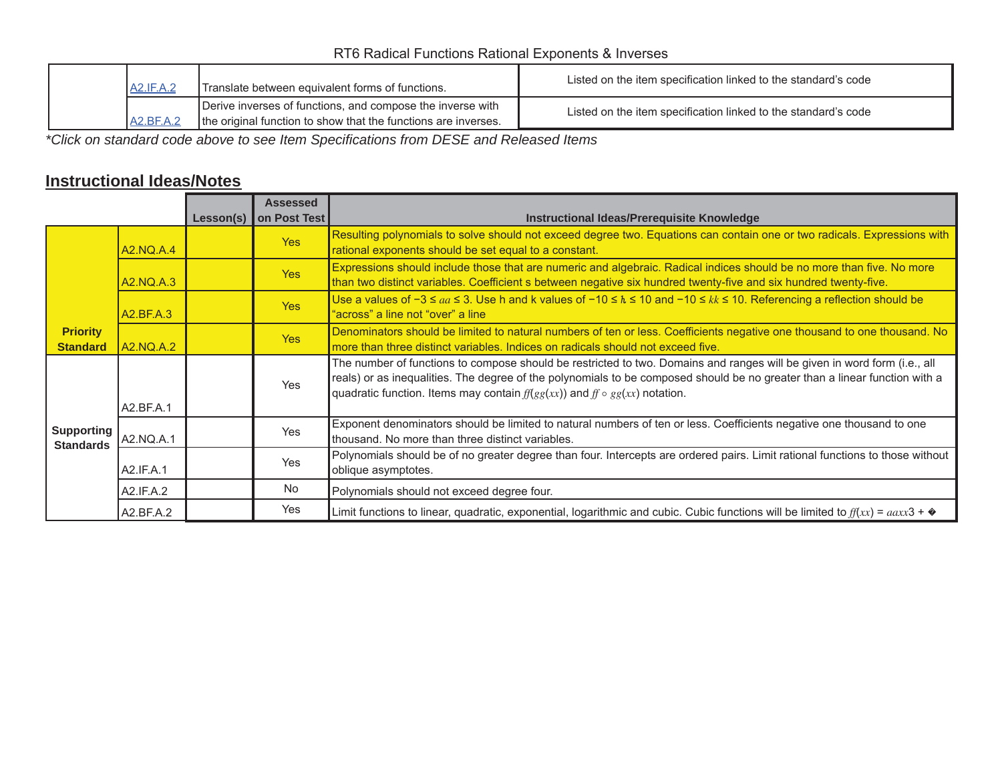#### RT6 Radical Functions Rational Exponents & Inverses

| <b>A2.IF.A.2</b>   | Translate between equivalent forms of functions.                                                                             | Listed on the item specification linked to the standard's code |
|--------------------|------------------------------------------------------------------------------------------------------------------------------|----------------------------------------------------------------|
| $A2.BF.A.^{\circ}$ | Derive inverses of functions, and compose the inverse with<br>the original function to show that the functions are inverses. | Listed on the item specification linked to the standard's code |

*\*Click on standard code above to see Item Specifications from DESE and Released Items*

### **Instructional Ideas/Notes**

|                                       |                  | Lesson(s) $\vert$ | <b>Assessed</b><br>on Post Test | Instructional Ideas/Prerequisite Knowledge                                                                                                                                                                                                                                                                                                   |
|---------------------------------------|------------------|-------------------|---------------------------------|----------------------------------------------------------------------------------------------------------------------------------------------------------------------------------------------------------------------------------------------------------------------------------------------------------------------------------------------|
|                                       | A2.NQ.A.4        |                   | <b>Yes</b>                      | Resulting polynomials to solve should not exceed degree two. Equations can contain one or two radicals. Expressions with<br>rational exponents should be set equal to a constant.                                                                                                                                                            |
|                                       | A2.NQ.A.3        |                   | <b>Yes</b>                      | Expressions should include those that are numeric and algebraic. Radical indices should be no more than five. No more<br>than two distinct variables. Coefficient s between negative six hundred twenty-five and six hundred twenty-five.                                                                                                    |
|                                       | A2.BF.A.3        |                   | <b>Yes</b>                      | Use a values of $-3 \le aa \le 3$ . Use h and k values of $-10 \le h \le 10$ and $-10 \le k \le 10$ . Referencing a reflection should be<br>"across" a line not "over" a line                                                                                                                                                                |
| <b>Priority</b><br><b>Standard</b>    | <b>A2.NQ.A.2</b> |                   | <b>Yes</b>                      | Denominators should be limited to natural numbers of ten or less. Coefficients negative one thousand to one thousand. No<br>more than three distinct variables. Indices on radicals should not exceed five.                                                                                                                                  |
|                                       | A2.BF.A.1        |                   | <b>Yes</b>                      | The number of functions to compose should be restricted to two. Domains and ranges will be given in word form (i.e., all<br>reals) or as inequalities. The degree of the polynomials to be composed should be no greater than a linear function with a<br>quadratic function. Items may contain $f(f(gg(xx))$ and $f \circ gg(xx)$ notation. |
| <b>Supporting</b><br><b>Standards</b> | A2.NQ.A.1        |                   | <b>Yes</b>                      | Exponent denominators should be limited to natural numbers of ten or less. Coefficients negative one thousand to one<br>thousand. No more than three distinct variables.                                                                                                                                                                     |
|                                       | A2.IF.A.1        |                   | Yes                             | Polynomials should be of no greater degree than four. Intercepts are ordered pairs. Limit rational functions to those without<br>oblique asymptotes.                                                                                                                                                                                         |
|                                       | A2.IF.A.2        |                   | <b>No</b>                       | Polynomials should not exceed degree four.                                                                                                                                                                                                                                                                                                   |
|                                       | A2.BF.A.2        |                   | Yes                             | Limit functions to linear, quadratic, exponential, logarithmic and cubic. Cubic functions will be limited to $f(xx) = aaxx3 + \phi$                                                                                                                                                                                                          |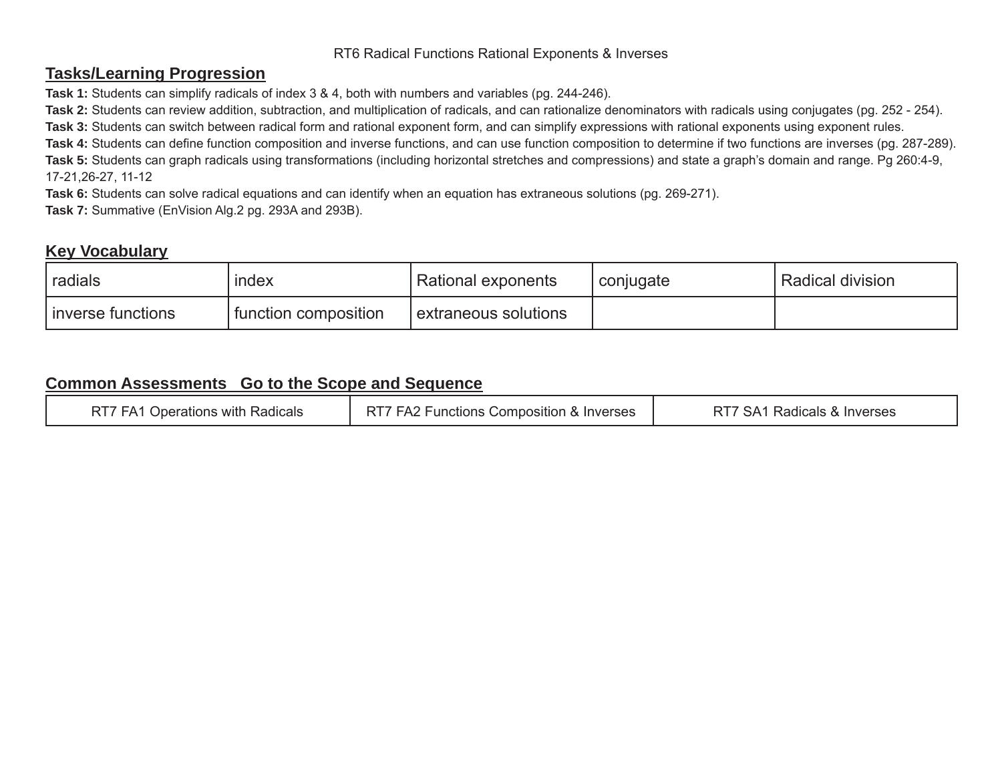#### RT6 Radical Functions Rational Exponents & Inverses

#### **Tasks/Learning Progression**

**Task 1:** Students can simplify radicals of index 3 & 4, both with numbers and variables (pg. 244-246).

**Task 2:** Students can review addition, subtraction, and multiplication of radicals, and can rationalize denominators with radicals using conjugates (pg. 252 - 254).

**Task 3:** Students can switch between radical form and rational exponent form, and can simplify expressions with rational exponents using exponent rules.

**Task 4:** Students can define function composition and inverse functions, and can use function composition to determine if two functions are inverses (pg. 287-289). **Task 5:** Students can graph radicals using transformations (including horizontal stretches and compressions) and state a graph's domain and range. Pg 260:4-9,

17-21,26-27, 11-12

**Task 6:** Students can solve radical equations and can identify when an equation has extraneous solutions (pg. 269-271).

**Task 7:** Summative (EnVision Alg.2 pg. 293A and 293B).

#### **Key Vocabulary**

| radials             | index                | Rational exponents   | conjugate | ' Radical division |
|---------------------|----------------------|----------------------|-----------|--------------------|
| I inverse functions | function composition | extraneous solutions |           |                    |

| Radicals<br>Operations with '<br>FА<br>N.I. | RT <sup>'</sup><br>Composition<br>n & Inverses<br>unctions<br>raz | Radicals &<br>Inverses<br>SA. |
|---------------------------------------------|-------------------------------------------------------------------|-------------------------------|
|---------------------------------------------|-------------------------------------------------------------------|-------------------------------|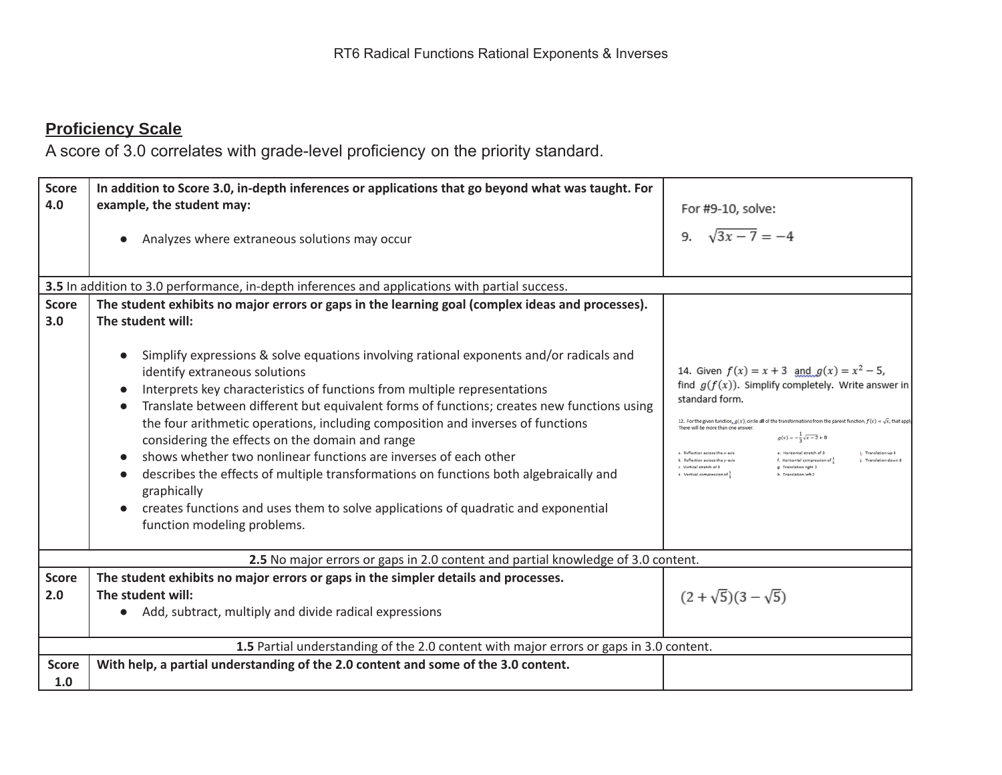| <b>Score</b><br>4.0 | In addition to Score 3.0, in-depth inferences or applications that go beyond what was taught. For<br>example, the student may:                                                                                                                                                                                                                                                                                                                                                                                                                                                                                                                                                                                                             | For #9-10, solve:                                                                                                                                                                                                                                                                                                                                                                                                                                                                                                                                                                                                                                                       |
|---------------------|--------------------------------------------------------------------------------------------------------------------------------------------------------------------------------------------------------------------------------------------------------------------------------------------------------------------------------------------------------------------------------------------------------------------------------------------------------------------------------------------------------------------------------------------------------------------------------------------------------------------------------------------------------------------------------------------------------------------------------------------|-------------------------------------------------------------------------------------------------------------------------------------------------------------------------------------------------------------------------------------------------------------------------------------------------------------------------------------------------------------------------------------------------------------------------------------------------------------------------------------------------------------------------------------------------------------------------------------------------------------------------------------------------------------------------|
|                     | Analyzes where extraneous solutions may occur                                                                                                                                                                                                                                                                                                                                                                                                                                                                                                                                                                                                                                                                                              | 9. $\sqrt{3x-7} = -4$                                                                                                                                                                                                                                                                                                                                                                                                                                                                                                                                                                                                                                                   |
|                     | 3.5 In addition to 3.0 performance, in-depth inferences and applications with partial success.                                                                                                                                                                                                                                                                                                                                                                                                                                                                                                                                                                                                                                             |                                                                                                                                                                                                                                                                                                                                                                                                                                                                                                                                                                                                                                                                         |
| <b>Score</b><br>3.0 | The student exhibits no major errors or gaps in the learning goal (complex ideas and processes).<br>The student will:                                                                                                                                                                                                                                                                                                                                                                                                                                                                                                                                                                                                                      |                                                                                                                                                                                                                                                                                                                                                                                                                                                                                                                                                                                                                                                                         |
|                     | Simplify expressions & solve equations involving rational exponents and/or radicals and<br>identify extraneous solutions<br>Interprets key characteristics of functions from multiple representations<br>Translate between different but equivalent forms of functions; creates new functions using<br>the four arithmetic operations, including composition and inverses of functions<br>considering the effects on the domain and range<br>shows whether two nonlinear functions are inverses of each other<br>describes the effects of multiple transformations on functions both algebraically and<br>graphically<br>creates functions and uses them to solve applications of quadratic and exponential<br>function modeling problems. | 14. Given $f(x) = x + 3$ and $g(x) = x^2 - 5$ ,<br>find $g(f(x))$ . Simplify completely. Write answer in<br>standard form.<br>12. For the given function, $g(x)$ , circle all of the transformations from the parent function, $f(x) = \sqrt{x}$ , that apply<br>There will be more than one answer<br>$g(x) = -\frac{1}{x}\sqrt{x-2} + 8$<br>e. Horizontal stretch of 3<br>a. Reflection across the x-axis<br>i. Translation up 8<br>f. Horizontal compression of $\frac{1}{2}$<br>b. Reflection across the v-axis<br>i. Translation down 8<br>c. Vertical stretch of 3<br>g. Translation right 2<br>d. Vertical compression of $\frac{1}{3}$<br>h. Translation left 2 |
|                     | 2.5 No major errors or gaps in 2.0 content and partial knowledge of 3.0 content.                                                                                                                                                                                                                                                                                                                                                                                                                                                                                                                                                                                                                                                           |                                                                                                                                                                                                                                                                                                                                                                                                                                                                                                                                                                                                                                                                         |
| <b>Score</b><br>2.0 | The student exhibits no major errors or gaps in the simpler details and processes.<br>The student will:<br>Add, subtract, multiply and divide radical expressions                                                                                                                                                                                                                                                                                                                                                                                                                                                                                                                                                                          | $(2+\sqrt{5})(3-\sqrt{5})$                                                                                                                                                                                                                                                                                                                                                                                                                                                                                                                                                                                                                                              |
|                     | 1.5 Partial understanding of the 2.0 content with major errors or gaps in 3.0 content.                                                                                                                                                                                                                                                                                                                                                                                                                                                                                                                                                                                                                                                     |                                                                                                                                                                                                                                                                                                                                                                                                                                                                                                                                                                                                                                                                         |
| <b>Score</b><br>1.0 | With help, a partial understanding of the 2.0 content and some of the 3.0 content.                                                                                                                                                                                                                                                                                                                                                                                                                                                                                                                                                                                                                                                         |                                                                                                                                                                                                                                                                                                                                                                                                                                                                                                                                                                                                                                                                         |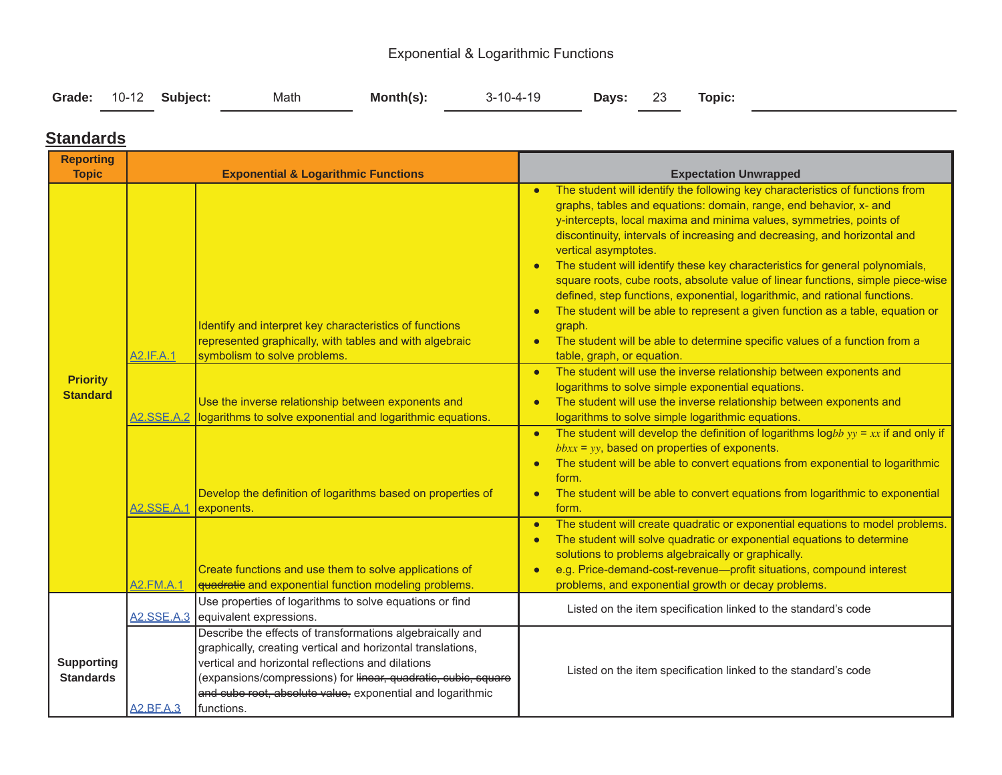### Exponential & Logarithmic Functions

| Grade: 10-12 Subject:<br>Days: 23 Topic: |  |  | Math | $Month(s)$ : | 3-10-4-19 |  |  |  |  |
|------------------------------------------|--|--|------|--------------|-----------|--|--|--|--|
|------------------------------------------|--|--|------|--------------|-----------|--|--|--|--|

#### **Standards**

| <b>Reporting</b><br><b>Topic</b>      |                       | <b>Exponential &amp; Logarithmic Functions</b>                                                                                                                                                                                                                                                                              | <b>Expectation Unwrapped</b>                                                                                                                                                                                                                                                                                                                                                                                                                                                                                                                                                                                                                                                                                                                                                                                                                                                                                                                                                                                                                                                                                                                                                                                                                                                                                   |
|---------------------------------------|-----------------------|-----------------------------------------------------------------------------------------------------------------------------------------------------------------------------------------------------------------------------------------------------------------------------------------------------------------------------|----------------------------------------------------------------------------------------------------------------------------------------------------------------------------------------------------------------------------------------------------------------------------------------------------------------------------------------------------------------------------------------------------------------------------------------------------------------------------------------------------------------------------------------------------------------------------------------------------------------------------------------------------------------------------------------------------------------------------------------------------------------------------------------------------------------------------------------------------------------------------------------------------------------------------------------------------------------------------------------------------------------------------------------------------------------------------------------------------------------------------------------------------------------------------------------------------------------------------------------------------------------------------------------------------------------|
| <b>Priority</b><br><b>Standard</b>    | A2.IF.A.1             | Identify and interpret key characteristics of functions<br>represented graphically, with tables and with algebraic<br>symbolism to solve problems.<br>Use the inverse relationship between exponents and<br>A2.SSE.A.2 logarithms to solve exponential and logarithmic equations.                                           | The student will identify the following key characteristics of functions from<br>graphs, tables and equations: domain, range, end behavior, x- and<br>y-intercepts, local maxima and minima values, symmetries, points of<br>discontinuity, intervals of increasing and decreasing, and horizontal and<br>vertical asymptotes.<br>The student will identify these key characteristics for general polynomials,<br>square roots, cube roots, absolute value of linear functions, simple piece-wise<br>defined, step functions, exponential, logarithmic, and rational functions.<br>The student will be able to represent a given function as a table, equation or<br>graph.<br>The student will be able to determine specific values of a function from a<br>table, graph, or equation.<br>The student will use the inverse relationship between exponents and<br>$\bullet$<br>logarithms to solve simple exponential equations.<br>The student will use the inverse relationship between exponents and<br>logarithms to solve simple logarithmic equations.<br>The student will develop the definition of logarithms $logbb yy = xx$ if and only if<br>$\bullet$<br>$bbxx = yy$ , based on properties of exponents.<br>The student will be able to convert equations from exponential to logarithmic<br>form. |
|                                       | A2.SSE.A.1 exponents. | Develop the definition of logarithms based on properties of                                                                                                                                                                                                                                                                 | The student will be able to convert equations from logarithmic to exponential<br>$\bullet$<br>form.                                                                                                                                                                                                                                                                                                                                                                                                                                                                                                                                                                                                                                                                                                                                                                                                                                                                                                                                                                                                                                                                                                                                                                                                            |
|                                       | <b>A2.FM.A.1</b>      | Create functions and use them to solve applications of<br>quadratie and exponential function modeling problems.                                                                                                                                                                                                             | The student will create quadratic or exponential equations to model problems.<br>The student will solve quadratic or exponential equations to determine<br>solutions to problems algebraically or graphically.<br>e.g. Price-demand-cost-revenue-profit situations, compound interest<br>$\bullet$<br>problems, and exponential growth or decay problems.                                                                                                                                                                                                                                                                                                                                                                                                                                                                                                                                                                                                                                                                                                                                                                                                                                                                                                                                                      |
|                                       |                       | Use properties of logarithms to solve equations or find<br>A2.SSE.A.3 equivalent expressions.                                                                                                                                                                                                                               | Listed on the item specification linked to the standard's code                                                                                                                                                                                                                                                                                                                                                                                                                                                                                                                                                                                                                                                                                                                                                                                                                                                                                                                                                                                                                                                                                                                                                                                                                                                 |
| <b>Supporting</b><br><b>Standards</b> | A2.BF.A.3             | Describe the effects of transformations algebraically and<br>graphically, creating vertical and horizontal translations,<br>vertical and horizontal reflections and dilations<br>(expansions/compressions) for linear, quadratic, cubic, square<br>and cube root, absolute value, exponential and logarithmic<br>functions. | Listed on the item specification linked to the standard's code                                                                                                                                                                                                                                                                                                                                                                                                                                                                                                                                                                                                                                                                                                                                                                                                                                                                                                                                                                                                                                                                                                                                                                                                                                                 |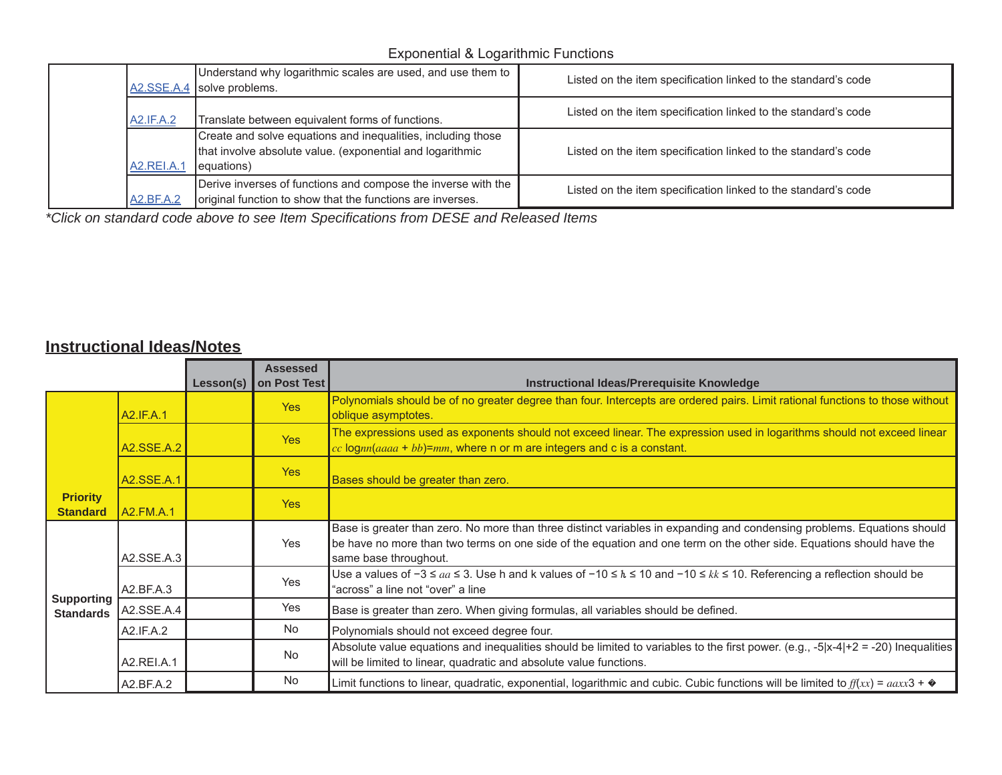### Exponential & Logarithmic Functions

|                  | Understand why logarithmic scales are used, and use them to  <br>$A2.SSE.A.4$ solve problems.                                            | Listed on the item specification linked to the standard's code |
|------------------|------------------------------------------------------------------------------------------------------------------------------------------|----------------------------------------------------------------|
| <b>A2.IF.A.2</b> | Translate between equivalent forms of functions.                                                                                         | Listed on the item specification linked to the standard's code |
| A2.REI.A.        | Create and solve equations and inequalities, including those<br>that involve absolute value. (exponential and logarithmic<br>(equations) | Listed on the item specification linked to the standard's code |
| <b>A2.BF.A.2</b> | Derive inverses of functions and compose the inverse with the<br>original function to show that the functions are inverses.              | Listed on the item specification linked to the standard's code |

*\*Click on standard code above to see Item Specifications from DESE and Released Items*

### **Instructional Ideas/Notes**

|                                       |                   |           | <b>Assessed</b> |                                                                                                                                                                                                                                                                          |
|---------------------------------------|-------------------|-----------|-----------------|--------------------------------------------------------------------------------------------------------------------------------------------------------------------------------------------------------------------------------------------------------------------------|
|                                       |                   | Lesson(s) | on Post Test    | Instructional Ideas/Prerequisite Knowledge                                                                                                                                                                                                                               |
|                                       | A2.IF.A.1         |           | <b>Yes</b>      | Polynomials should be of no greater degree than four. Intercepts are ordered pairs. Limit rational functions to those without<br>oblique asymptotes.                                                                                                                     |
|                                       | <b>A2.SSE.A.2</b> |           | Yes             | The expressions used as exponents should not exceed linear. The expression used in logarithms should not exceed linear<br>$cc$ lognn(aaaa + bb)=mm, where n or m are integers and c is a constant.                                                                       |
|                                       | A2.SSE.A.1        |           | Yes             | Bases should be greater than zero.                                                                                                                                                                                                                                       |
| <b>Priority</b><br><b>Standard</b>    | A2.FM.A.1         |           | <b>Yes</b>      |                                                                                                                                                                                                                                                                          |
| <b>Supporting</b><br><b>Standards</b> | A2.SSE.A.3        |           | Yes             | Base is greater than zero. No more than three distinct variables in expanding and condensing problems. Equations should<br>be have no more than two terms on one side of the equation and one term on the other side. Equations should have the<br>same base throughout. |
|                                       | A2.BF.A.3         |           | <b>Yes</b>      | Use a values of $-3 \leq aa \leq 3$ . Use h and k values of $-10 \leq h \leq 10$ and $-10 \leq kk \leq 10$ . Referencing a reflection should be<br>"across" a line not "over" a line                                                                                     |
|                                       | A2.SSE.A.4        |           | <b>Yes</b>      | Base is greater than zero. When giving formulas, all variables should be defined.                                                                                                                                                                                        |
|                                       | A2.IF.A.2         |           | <b>No</b>       | Polynomials should not exceed degree four.                                                                                                                                                                                                                               |
|                                       | A2.REI.A.1        |           | <b>No</b>       | Absolute value equations and inequalities should be limited to variables to the first power. (e.g., -5 x-4 +2 = -20) Inequalities<br>will be limited to linear, quadratic and absolute value functions.                                                                  |
|                                       | A2.BF.A.2         |           | No.             | Limit functions to linear, quadratic, exponential, logarithmic and cubic. Cubic functions will be limited to $f(xx) = aaxx3 + \phi$                                                                                                                                      |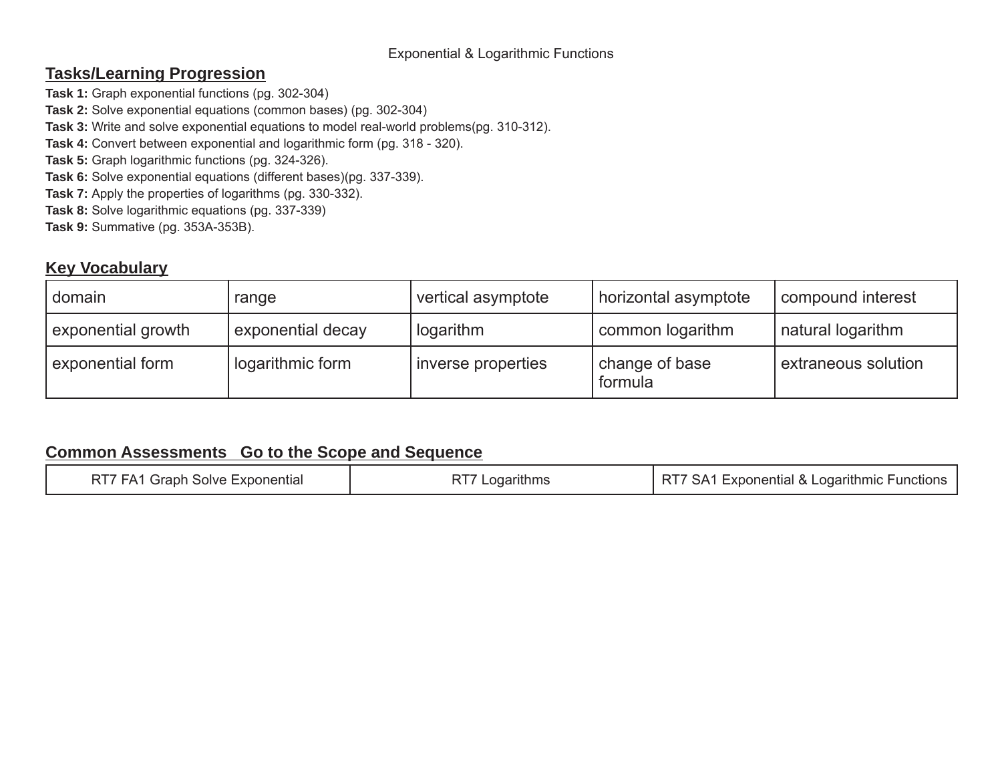#### Exponential & Logarithmic Functions

### **Tasks/Learning Progression**

**Task 1:** Graph exponential functions (pg. 302-304)

- **Task 2:** Solve exponential equations (common bases) (pg. 302-304)
- **Task 3:** Write and solve exponential equations to model real-world problems(pg. 310-312).
- **Task 4:** Convert between exponential and logarithmic form (pg. 318 320).
- **Task 5:** Graph logarithmic functions (pg. 324-326).
- **Task 6:** Solve exponential equations (different bases)(pg. 337-339).
- **Task 7:** Apply the properties of logarithms (pg. 330-332).
- **Task 8:** Solve logarithmic equations (pg. 337-339)
- **Task 9:** Summative (pg. 353A-353B).

### **Key Vocabulary**

| domain             | range             | vertical asymptote | horizontal asymptote      | compound interest   |
|--------------------|-------------------|--------------------|---------------------------|---------------------|
| exponential growth | exponential decay | logarithm          | common logarithm          | natural logarithm   |
| exponential form   | logarithmic form  | inverse properties | change of base<br>formula | extraneous solution |

| RT7 FA1 Graph Solve Exponential | RT7 Logarithms | RT7 SA1 Exponential & Logarithmic Functions |
|---------------------------------|----------------|---------------------------------------------|
|---------------------------------|----------------|---------------------------------------------|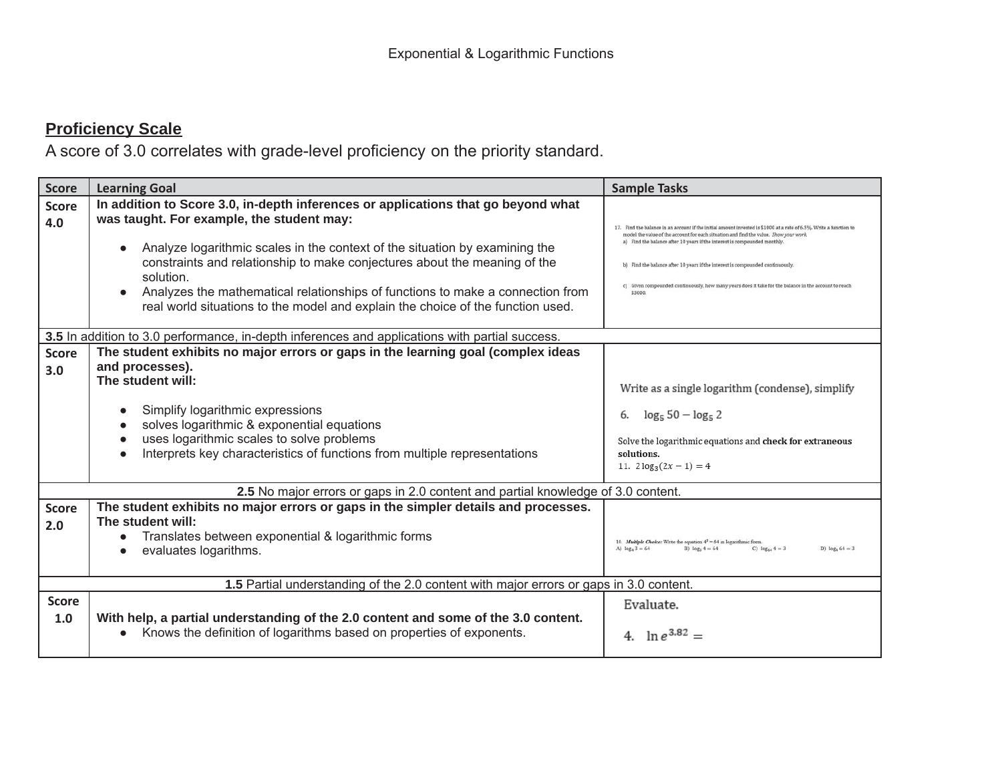| <b>Score</b>        | <b>Learning Goal</b>                                                                                                                                                                                                                                                                                                                                                                                                                                                                                   | <b>Sample Tasks</b>                                                                                                                                                                                                                                                                                                                                                                                                                                                                    |
|---------------------|--------------------------------------------------------------------------------------------------------------------------------------------------------------------------------------------------------------------------------------------------------------------------------------------------------------------------------------------------------------------------------------------------------------------------------------------------------------------------------------------------------|----------------------------------------------------------------------------------------------------------------------------------------------------------------------------------------------------------------------------------------------------------------------------------------------------------------------------------------------------------------------------------------------------------------------------------------------------------------------------------------|
| <b>Score</b><br>4.0 | In addition to Score 3.0, in-depth inferences or applications that go beyond what<br>was taught. For example, the student may:<br>Analyze logarithmic scales in the context of the situation by examining the<br>$\bullet$<br>constraints and relationship to make conjectures about the meaning of the<br>solution.<br>Analyzes the mathematical relationships of functions to make a connection from<br>$\bullet$<br>real world situations to the model and explain the choice of the function used. | ind the balance in an account if the initial amount invested is \$1000 at a rate of 6.5%. Write a function to<br>nodel the value of the account for each situation and find the value. Show your work<br>a) Find the balance after 10 years if the interest is compounded monthly<br>b) Find the balance after 10 years if the interest is compounded continuously<br>c) Given compounded continuously, how many years does it take for the balance in the account to reach<br>\$3000. |
|                     | 3.5 In addition to 3.0 performance, in-depth inferences and applications with partial success.                                                                                                                                                                                                                                                                                                                                                                                                         |                                                                                                                                                                                                                                                                                                                                                                                                                                                                                        |
| <b>Score</b><br>3.0 | The student exhibits no major errors or gaps in the learning goal (complex ideas<br>and processes).<br>The student will:<br>Simplify logarithmic expressions<br>$\bullet$<br>solves logarithmic & exponential equations<br>uses logarithmic scales to solve problems<br>Interprets key characteristics of functions from multiple representations<br>$\bullet$                                                                                                                                         | Write as a single logarithm (condense), simplify<br>$\log_5 50 - \log_5 2$<br>6.<br>Solve the logarithmic equations and check for extraneous<br>solutions.<br>11. $2\log_3(2x-1)=4$                                                                                                                                                                                                                                                                                                    |
|                     | 2.5 No major errors or gaps in 2.0 content and partial knowledge of 3.0 content.                                                                                                                                                                                                                                                                                                                                                                                                                       |                                                                                                                                                                                                                                                                                                                                                                                                                                                                                        |
| <b>Score</b><br>2.0 | The student exhibits no major errors or gaps in the simpler details and processes.<br>The student will:<br>Translates between exponential & logarithmic forms<br>evaluates logarithms.<br>$\bullet$                                                                                                                                                                                                                                                                                                    | 10. Multiple Choice: Write the equation $4^3 = 64$ in logarithmic form.<br>A) $log_4 3 = 64$<br>C) $log_{14} 4 = 3$<br>B) $log_3 4 = 64$<br>D) $log_4 64 = 3$                                                                                                                                                                                                                                                                                                                          |
|                     | 1.5 Partial understanding of the 2.0 content with major errors or gaps in 3.0 content.                                                                                                                                                                                                                                                                                                                                                                                                                 |                                                                                                                                                                                                                                                                                                                                                                                                                                                                                        |
| <b>Score</b><br>1.0 | With help, a partial understanding of the 2.0 content and some of the 3.0 content.<br>Knows the definition of logarithms based on properties of exponents.<br>$\bullet$                                                                                                                                                                                                                                                                                                                                | Evaluate.<br>4. $\ln e^{3.82}$ =                                                                                                                                                                                                                                                                                                                                                                                                                                                       |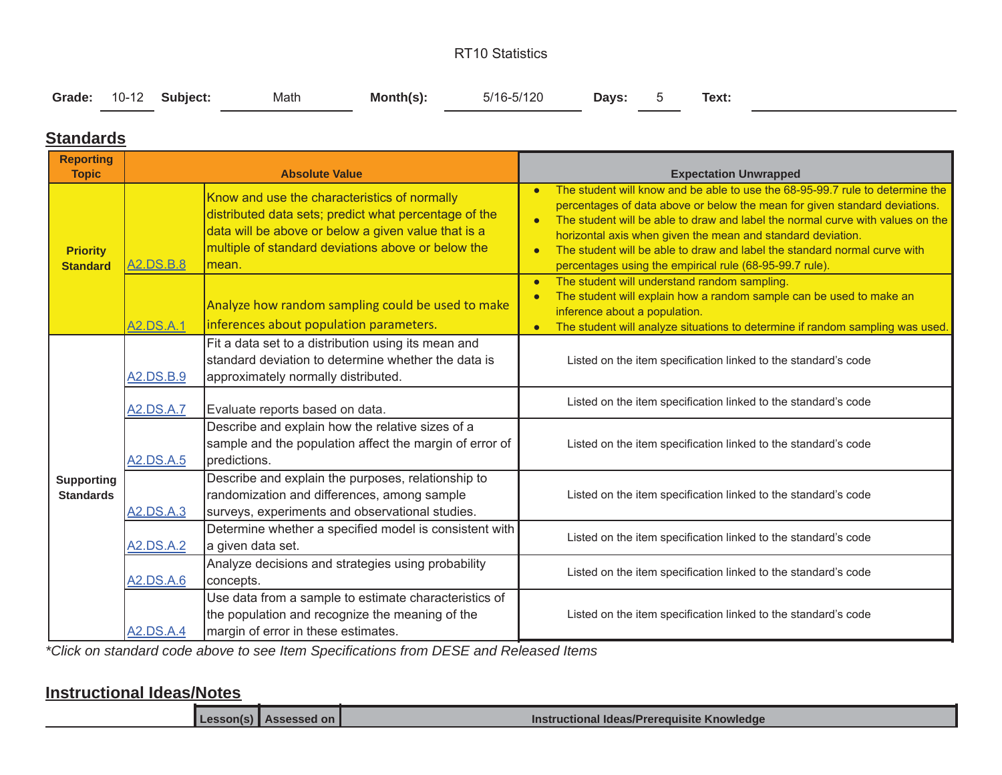#### RT10 Statistics

|  |  | Grade: 10-12 Subject: | Math | Month(s): | 5/16-5/120 | Days: 5 |  | Text: |  |
|--|--|-----------------------|------|-----------|------------|---------|--|-------|--|
|--|--|-----------------------|------|-----------|------------|---------|--|-------|--|

### **Standards**

| <b>Reporting</b><br><b>Topic</b>      |                  | <b>Absolute Value</b>                                                                                                                                                                                                        | <b>Expectation Unwrapped</b>                                                                                                                                                                                                                                                                                                                                                                                                                                                   |
|---------------------------------------|------------------|------------------------------------------------------------------------------------------------------------------------------------------------------------------------------------------------------------------------------|--------------------------------------------------------------------------------------------------------------------------------------------------------------------------------------------------------------------------------------------------------------------------------------------------------------------------------------------------------------------------------------------------------------------------------------------------------------------------------|
| <b>Priority</b><br><b>Standard</b>    | <b>A2.DS.B.8</b> | Know and use the characteristics of normally<br>distributed data sets; predict what percentage of the<br>data will be above or below a given value that is a<br>multiple of standard deviations above or below the<br>lmean. | The student will know and be able to use the 68-95-99.7 rule to determine the<br>percentages of data above or below the mean for given standard deviations.<br>The student will be able to draw and label the normal curve with values on the<br>$\bullet$<br>horizontal axis when given the mean and standard deviation.<br>The student will be able to draw and label the standard normal curve with<br>$\bullet$<br>percentages using the empirical rule (68-95-99.7 rule). |
|                                       | A2.DS.A.1        | Analyze how random sampling could be used to make<br>inferences about population parameters.                                                                                                                                 | The student will understand random sampling.<br>$\bullet$<br>The student will explain how a random sample can be used to make an<br>$\bullet$<br>inference about a population.<br>The student will analyze situations to determine if random sampling was used.<br>$\bullet$                                                                                                                                                                                                   |
|                                       | A2.DS.B.9        | Fit a data set to a distribution using its mean and<br>standard deviation to determine whether the data is<br>approximately normally distributed.                                                                            | Listed on the item specification linked to the standard's code                                                                                                                                                                                                                                                                                                                                                                                                                 |
|                                       | <b>A2.DS.A.7</b> | Evaluate reports based on data.                                                                                                                                                                                              | Listed on the item specification linked to the standard's code                                                                                                                                                                                                                                                                                                                                                                                                                 |
|                                       | <b>A2.DS.A.5</b> | Describe and explain how the relative sizes of a<br>sample and the population affect the margin of error of<br>predictions.                                                                                                  | Listed on the item specification linked to the standard's code                                                                                                                                                                                                                                                                                                                                                                                                                 |
| <b>Supporting</b><br><b>Standards</b> | A2.DS.A.3        | Describe and explain the purposes, relationship to<br>randomization and differences, among sample<br>surveys, experiments and observational studies.                                                                         | Listed on the item specification linked to the standard's code                                                                                                                                                                                                                                                                                                                                                                                                                 |
|                                       | A2.DS.A.2        | Determine whether a specified model is consistent with<br>a given data set.                                                                                                                                                  | Listed on the item specification linked to the standard's code                                                                                                                                                                                                                                                                                                                                                                                                                 |
|                                       | A2.DS.A.6        | Analyze decisions and strategies using probability<br>concepts.                                                                                                                                                              | Listed on the item specification linked to the standard's code                                                                                                                                                                                                                                                                                                                                                                                                                 |
|                                       | <b>A2.DS.A.4</b> | Use data from a sample to estimate characteristics of<br>the population and recognize the meaning of the<br>margin of error in these estimates.                                                                              | Listed on the item specification linked to the standard's code                                                                                                                                                                                                                                                                                                                                                                                                                 |

*\*Click on standard code above to see Item Specifications from DESE and Released Items*

#### **Instructional Ideas/Notes**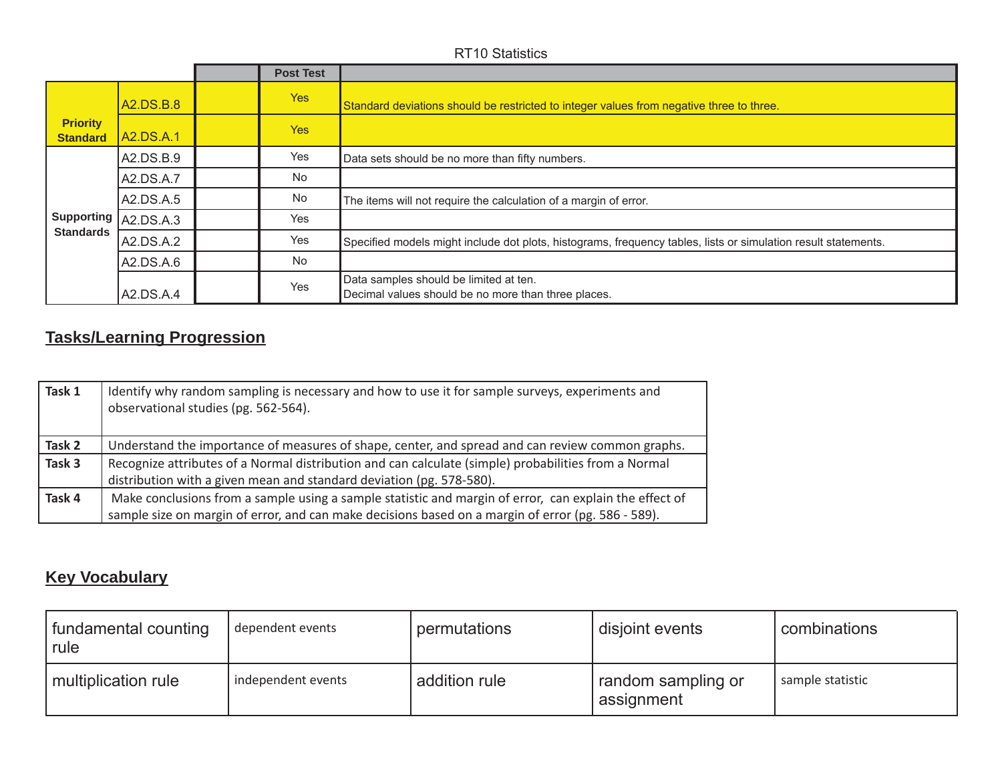|                                    |           | <b>Post Test</b> |                                                                                                                |
|------------------------------------|-----------|------------------|----------------------------------------------------------------------------------------------------------------|
|                                    | A2.DS.B.8 | <b>Yes</b>       | Standard deviations should be restricted to integer values from negative three to three.                       |
| <b>Priority</b><br><b>Standard</b> | A2.DS.A.1 | <b>Yes</b>       |                                                                                                                |
|                                    | A2.DS.B.9 | Yes              | Data sets should be no more than fifty numbers.                                                                |
|                                    | A2.DS.A.7 | <b>No</b>        |                                                                                                                |
|                                    | A2.DS.A.5 | <b>No</b>        | The items will not require the calculation of a margin of error.                                               |
| Supporting   A2.DS.A.3             |           | Yes              |                                                                                                                |
| <b>Standards</b>                   | A2.DS.A.2 | Yes              | Specified models might include dot plots, histograms, frequency tables, lists or simulation result statements. |
|                                    | A2.DS.A.6 | <b>No</b>        |                                                                                                                |
|                                    | A2.DS.A.4 | Yes              | Data samples should be limited at ten.<br>Decimal values should be no more than three places.                  |

# **Tasks/Learning Progression**

| Task 1 | Identify why random sampling is necessary and how to use it for sample surveys, experiments and<br>observational studies (pg. 562-564). |
|--------|-----------------------------------------------------------------------------------------------------------------------------------------|
| Task 2 | Understand the importance of measures of shape, center, and spread and can review common graphs.                                        |
| Task 3 | Recognize attributes of a Normal distribution and can calculate (simple) probabilities from a Normal                                    |
|        | distribution with a given mean and standard deviation (pg. 578-580).                                                                    |
| Task 4 | Make conclusions from a sample using a sample statistic and margin of error, can explain the effect of                                  |
|        | sample size on margin of error, and can make decisions based on a margin of error (pg. 586 - 589).                                      |

# **Key Vocabulary**

| fundamental counting<br>rule | dependent events   | permutations  | disjoint events                  | combinations     |
|------------------------------|--------------------|---------------|----------------------------------|------------------|
| multiplication rule          | independent events | addition rule | random sampling or<br>assignment | sample statistic |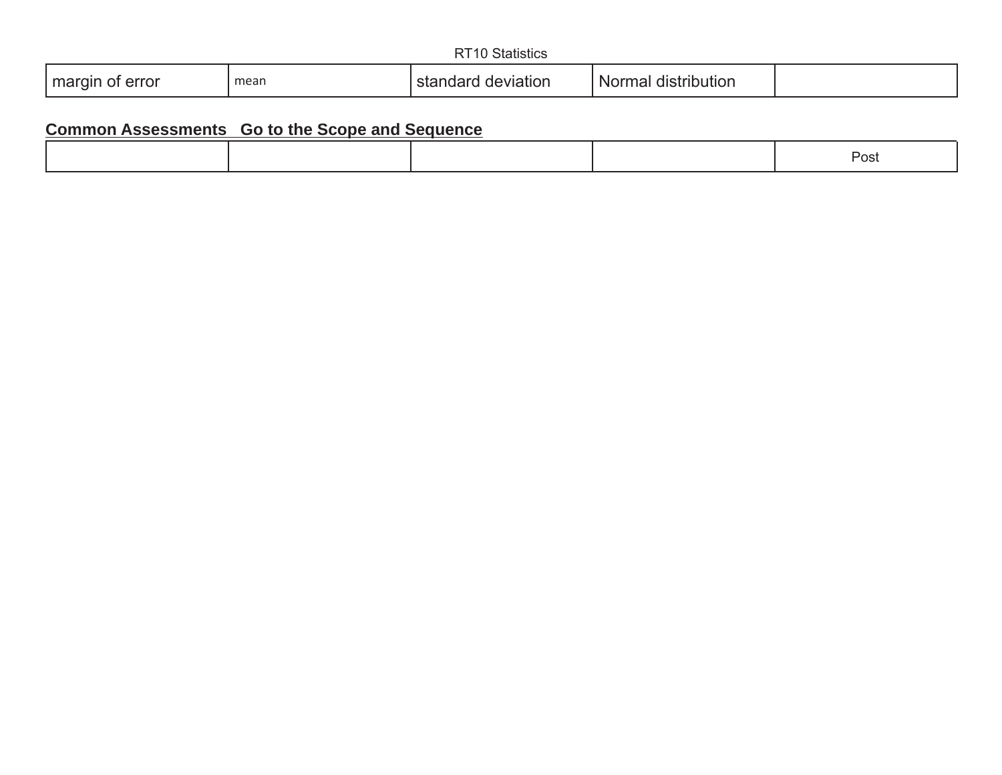|                    |      | <b>Statistics</b><br>∩ דת |                     |  |
|--------------------|------|---------------------------|---------------------|--|
| margin of<br>error | mean | deviation<br>standard     | Normal distribution |  |

| vəi<br>$\cdot$ $\cdot$ $\cdot$ $\cdot$ |  |
|----------------------------------------|--|
|----------------------------------------|--|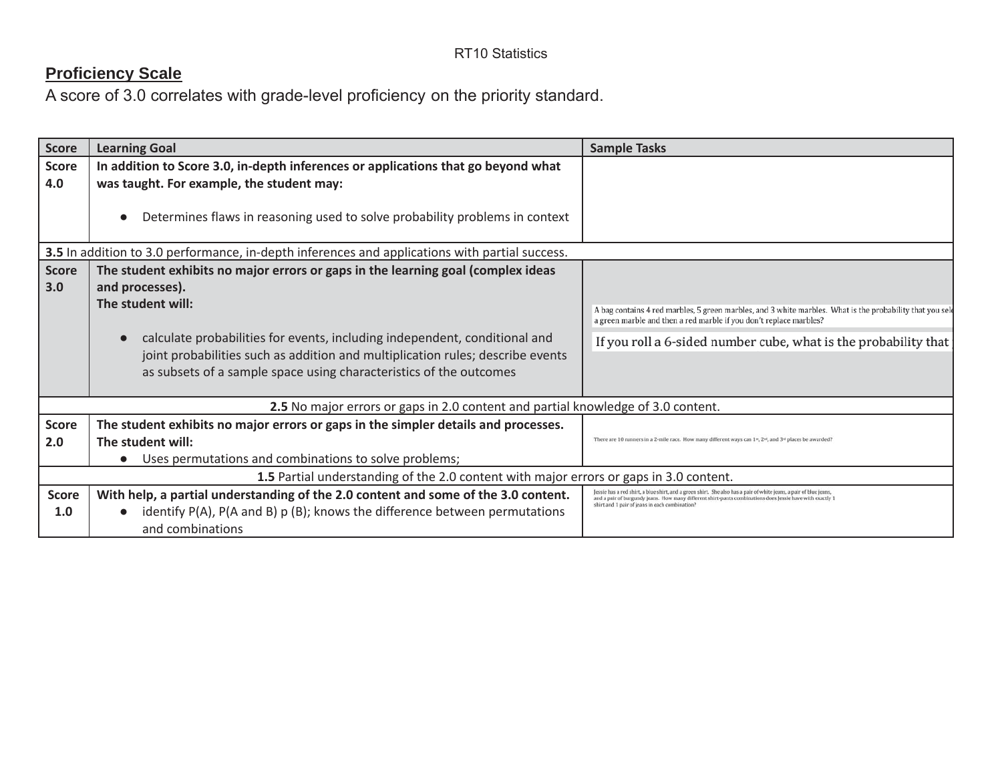| <b>Score</b> | <b>Learning Goal</b>                                                                           | <b>Sample Tasks</b>                                                                                                                                                                                                             |
|--------------|------------------------------------------------------------------------------------------------|---------------------------------------------------------------------------------------------------------------------------------------------------------------------------------------------------------------------------------|
| <b>Score</b> | In addition to Score 3.0, in-depth inferences or applications that go beyond what              |                                                                                                                                                                                                                                 |
| 4.0          | was taught. For example, the student may:                                                      |                                                                                                                                                                                                                                 |
|              | Determines flaws in reasoning used to solve probability problems in context                    |                                                                                                                                                                                                                                 |
|              | 3.5 In addition to 3.0 performance, in-depth inferences and applications with partial success. |                                                                                                                                                                                                                                 |
| <b>Score</b> | The student exhibits no major errors or gaps in the learning goal (complex ideas               |                                                                                                                                                                                                                                 |
| 3.0          | and processes).                                                                                |                                                                                                                                                                                                                                 |
|              | The student will:                                                                              | A bag contains 4 red marbles, 5 green marbles, and 3 white marbles. What is the probability that you sele<br>a green marble and then a red marble if you don't replace marbles?                                                 |
|              | calculate probabilities for events, including independent, conditional and                     | If you roll a 6-sided number cube, what is the probability that                                                                                                                                                                 |
|              | joint probabilities such as addition and multiplication rules; describe events                 |                                                                                                                                                                                                                                 |
|              | as subsets of a sample space using characteristics of the outcomes                             |                                                                                                                                                                                                                                 |
|              |                                                                                                |                                                                                                                                                                                                                                 |
|              | 2.5 No major errors or gaps in 2.0 content and partial knowledge of 3.0 content.               |                                                                                                                                                                                                                                 |
| <b>Score</b> | The student exhibits no major errors or gaps in the simpler details and processes.             |                                                                                                                                                                                                                                 |
| 2.0          | The student will:                                                                              | There are 10 runners in a 2-mile race. How many different ways can 1s, 2s6, and 3s4 places be awarded?                                                                                                                          |
|              | Uses permutations and combinations to solve problems;                                          |                                                                                                                                                                                                                                 |
|              | 1.5 Partial understanding of the 2.0 content with major errors or gaps in 3.0 content.         |                                                                                                                                                                                                                                 |
| <b>Score</b> | With help, a partial understanding of the 2.0 content and some of the 3.0 content.             | Jessie has a red shirt, a blue shirt, and a green shirt. She also has a pair of white jeans, a pair of blue jeans,<br>and a pair of burgundy jeans. How many different shirt-pants combinations does Jessie have with exactly 1 |
| 1.0          | identify $P(A)$ , $P(A \text{ and } B)$ $p(B)$ ; knows the difference between permutations     | shirt and 1 pair of jeans in each combination?                                                                                                                                                                                  |
|              | and combinations                                                                               |                                                                                                                                                                                                                                 |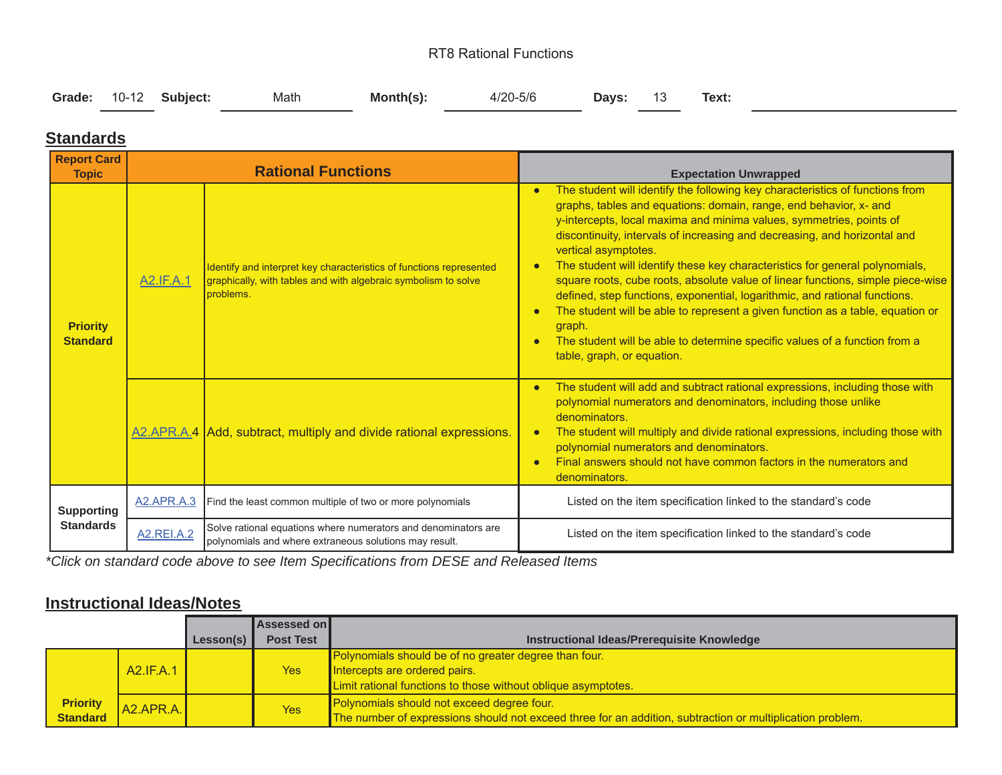#### RT8 Rational Functions

|  |  | Grade: 10-12 Subject: | Math | $Month(s)$ : | 4/20-5/6 | <b>Days:</b> 13 |  | Text: |  |
|--|--|-----------------------|------|--------------|----------|-----------------|--|-------|--|
|--|--|-----------------------|------|--------------|----------|-----------------|--|-------|--|

#### **Standards**

| <b>Report Card</b><br><b>Topic</b> |                   | <b>Rational Functions</b>                                                                                                                          | <b>Expectation Unwrapped</b>                                                                                                                                                                                                                                                                                                                                                                                                                                                                                                                                                                                                                                                                                                                                                                                                                |
|------------------------------------|-------------------|----------------------------------------------------------------------------------------------------------------------------------------------------|---------------------------------------------------------------------------------------------------------------------------------------------------------------------------------------------------------------------------------------------------------------------------------------------------------------------------------------------------------------------------------------------------------------------------------------------------------------------------------------------------------------------------------------------------------------------------------------------------------------------------------------------------------------------------------------------------------------------------------------------------------------------------------------------------------------------------------------------|
| <b>Priority</b><br><b>Standard</b> | <b>A2.IF.A.1</b>  | Identify and interpret key characteristics of functions represented<br>graphically, with tables and with algebraic symbolism to solve<br>problems. | The student will identify the following key characteristics of functions from<br>$\bullet$<br>graphs, tables and equations: domain, range, end behavior, x- and<br>y-intercepts, local maxima and minima values, symmetries, points of<br>discontinuity, intervals of increasing and decreasing, and horizontal and<br>vertical asymptotes.<br>The student will identify these key characteristics for general polynomials,<br>$\bullet$<br>square roots, cube roots, absolute value of linear functions, simple piece-wise<br>defined, step functions, exponential, logarithmic, and rational functions.<br>The student will be able to represent a given function as a table, equation or<br>$\bullet$<br>graph.<br>The student will be able to determine specific values of a function from a<br>$\bullet$<br>table, graph, or equation. |
|                                    |                   | A2.APR.A.4 Add, subtract, multiply and divide rational expressions.                                                                                | The student will add and subtract rational expressions, including those with<br>$\bullet$<br>polynomial numerators and denominators, including those unlike<br>denominators.<br>The student will multiply and divide rational expressions, including those with<br>$\bullet$<br>polynomial numerators and denominators.<br>Final answers should not have common factors in the numerators and<br>$\bullet$<br>denominators.                                                                                                                                                                                                                                                                                                                                                                                                                 |
| <b>Supporting</b>                  | <b>A2.APR.A.3</b> | Find the least common multiple of two or more polynomials                                                                                          | Listed on the item specification linked to the standard's code                                                                                                                                                                                                                                                                                                                                                                                                                                                                                                                                                                                                                                                                                                                                                                              |
| <b>Standards</b>                   | <b>A2.REI.A.2</b> | Solve rational equations where numerators and denominators are<br>polynomials and where extraneous solutions may result.                           | Listed on the item specification linked to the standard's code                                                                                                                                                                                                                                                                                                                                                                                                                                                                                                                                                                                                                                                                                                                                                                              |

*\*Click on standard code above to see Item Specifications from DESE and Released Items*

#### **Instructional Ideas/Notes**

|                             |               |           | Assessed on      |                                                                                                           |
|-----------------------------|---------------|-----------|------------------|-----------------------------------------------------------------------------------------------------------|
|                             |               | Lesson(s) | <b>Post Test</b> | Instructional Ideas/Prerequisite Knowledge                                                                |
|                             |               |           |                  | Polynomials should be of no greater degree than four.                                                     |
|                             | A2.IF.A.1     |           | Yes              | Intercepts are ordered pairs.                                                                             |
|                             |               |           |                  | Limit rational functions to those without oblique asymptotes.                                             |
|                             | $ $ A2.APR.A. |           | Yes              | Polynomials should not exceed degree four.                                                                |
| <b>Priority</b><br>Standard |               |           |                  | The number of expressions should not exceed three for an addition, subtraction or multiplication problem. |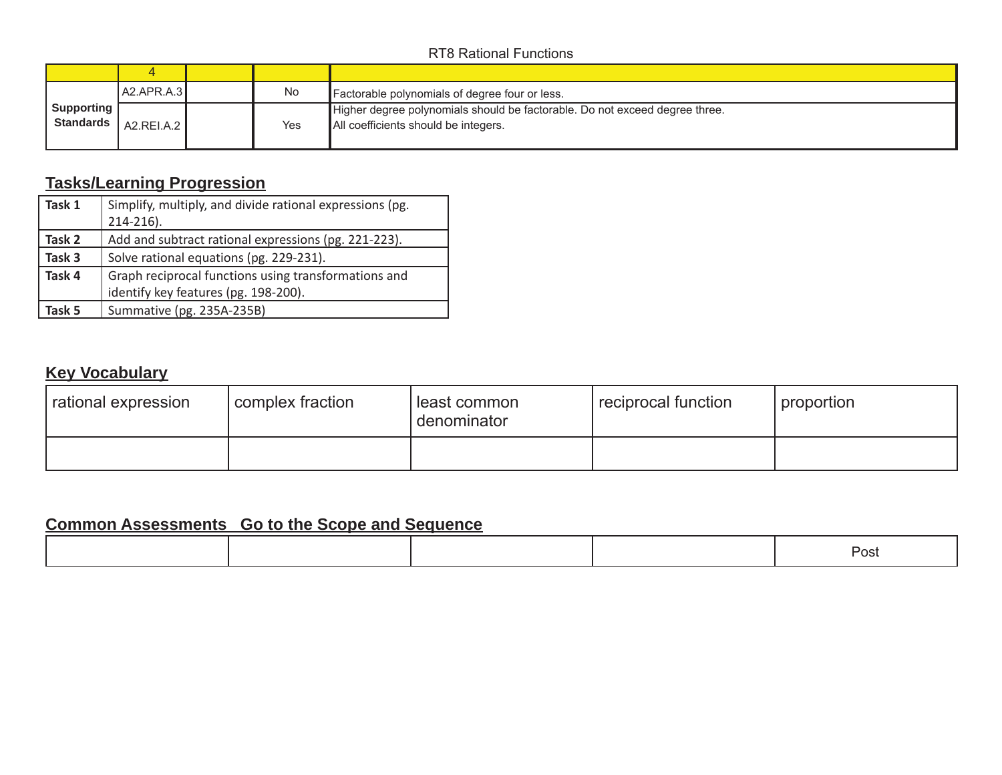#### RT8 Rational Functions

|                           | 4            |     |                                                                                                                     |
|---------------------------|--------------|-----|---------------------------------------------------------------------------------------------------------------------|
|                           | IA2.APR.A.3I | No  | Factorable polynomials of degree four or less.                                                                      |
| Supporting [<br>Standards | AZ.REI.A.2   | Yes | Higher degree polynomials should be factorable. Do not exceed degree three.<br>All coefficients should be integers. |

## **Tasks/Learning Progression**

| Task 1 | Simplify, multiply, and divide rational expressions (pg. |  |  |  |
|--------|----------------------------------------------------------|--|--|--|
|        | $214 - 216$ ).                                           |  |  |  |
| Task 2 | Add and subtract rational expressions (pg. 221-223).     |  |  |  |
| Task 3 | Solve rational equations (pg. 229-231).                  |  |  |  |
| Task 4 | Graph reciprocal functions using transformations and     |  |  |  |
|        | identify key features (pg. 198-200).                     |  |  |  |
| Task 5 | Summative (pg. 235A-235B)                                |  |  |  |

### **Key Vocabulary**

| rational expression | I complex fraction | least common<br>denominator | reciprocal function | proportion |
|---------------------|--------------------|-----------------------------|---------------------|------------|
|                     |                    |                             |                     |            |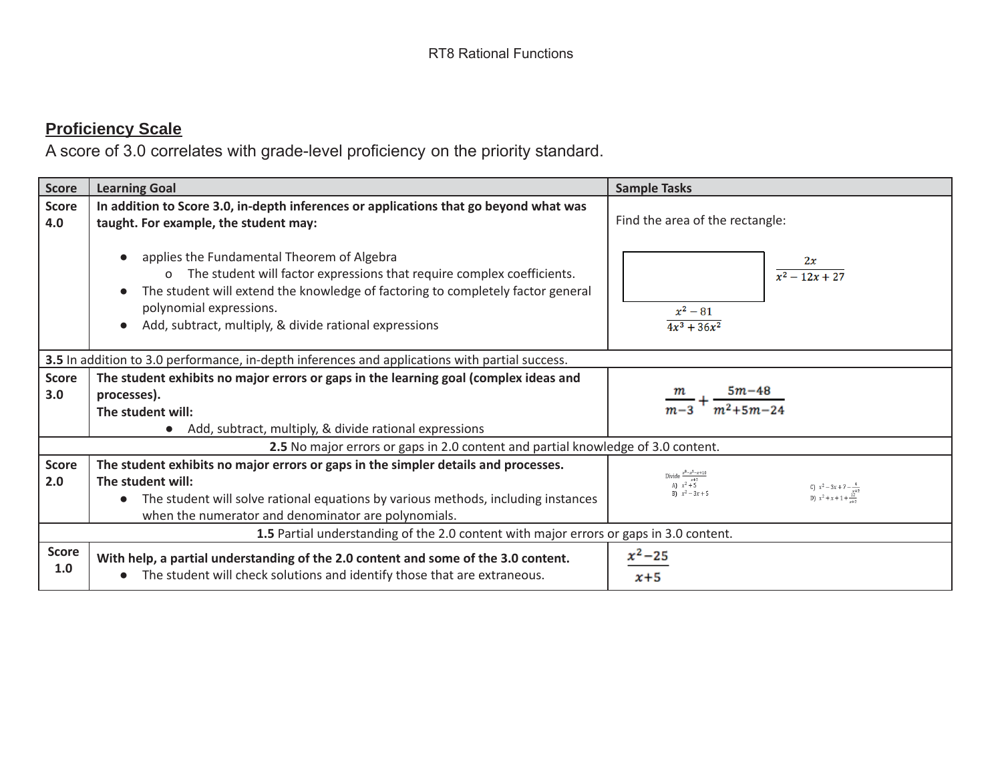| Score               | <b>Learning Goal</b>                                                                                                                                                                                                                                                                                     | <b>Sample Tasks</b>                                                                                                                                    |  |  |  |  |  |  |
|---------------------|----------------------------------------------------------------------------------------------------------------------------------------------------------------------------------------------------------------------------------------------------------------------------------------------------------|--------------------------------------------------------------------------------------------------------------------------------------------------------|--|--|--|--|--|--|
|                     |                                                                                                                                                                                                                                                                                                          |                                                                                                                                                        |  |  |  |  |  |  |
| <b>Score</b><br>4.0 | In addition to Score 3.0, in-depth inferences or applications that go beyond what was<br>taught. For example, the student may:                                                                                                                                                                           | Find the area of the rectangle:                                                                                                                        |  |  |  |  |  |  |
|                     | applies the Fundamental Theorem of Algebra<br>The student will factor expressions that require complex coefficients.<br>$\Omega$<br>The student will extend the knowledge of factoring to completely factor general<br>polynomial expressions.<br>Add, subtract, multiply, & divide rational expressions | $\frac{2x}{x^2-12x+27}$<br>$x^2 - 81$<br>$4x^3 + 36x^2$                                                                                                |  |  |  |  |  |  |
|                     | 3.5 In addition to 3.0 performance, in-depth inferences and applications with partial success.                                                                                                                                                                                                           |                                                                                                                                                        |  |  |  |  |  |  |
| <b>Score</b>        | The student exhibits no major errors or gaps in the learning goal (complex ideas and                                                                                                                                                                                                                     |                                                                                                                                                        |  |  |  |  |  |  |
| 3.0                 | processes).                                                                                                                                                                                                                                                                                              | $\frac{m}{m-3} + \frac{5m-48}{m^2+5m-24}$                                                                                                              |  |  |  |  |  |  |
|                     | The student will:                                                                                                                                                                                                                                                                                        |                                                                                                                                                        |  |  |  |  |  |  |
|                     | Add, subtract, multiply, & divide rational expressions                                                                                                                                                                                                                                                   |                                                                                                                                                        |  |  |  |  |  |  |
|                     | 2.5 No major errors or gaps in 2.0 content and partial knowledge of 3.0 content.                                                                                                                                                                                                                         |                                                                                                                                                        |  |  |  |  |  |  |
| Score<br>2.0        | The student exhibits no major errors or gaps in the simpler details and processes.<br>The student will:<br>The student will solve rational equations by various methods, including instances<br>when the numerator and denominator are polynomials.                                                      | Divide $\frac{x^3 - x^2 - x + 10}{x+2}$<br>A) $x^2 + 5$<br>B) $x^2 - 3x + 5$<br>C) $x^2 - 3x + 7 - \frac{4}{x+2}$<br>D) $x^2 + x + 1 + \frac{12}{x+2}$ |  |  |  |  |  |  |
|                     | 1.5 Partial understanding of the 2.0 content with major errors or gaps in 3.0 content.                                                                                                                                                                                                                   |                                                                                                                                                        |  |  |  |  |  |  |
| <b>Score</b><br>1.0 | With help, a partial understanding of the 2.0 content and some of the 3.0 content.<br>The student will check solutions and identify those that are extraneous.                                                                                                                                           | $x^2 - 25$<br>$x+5$                                                                                                                                    |  |  |  |  |  |  |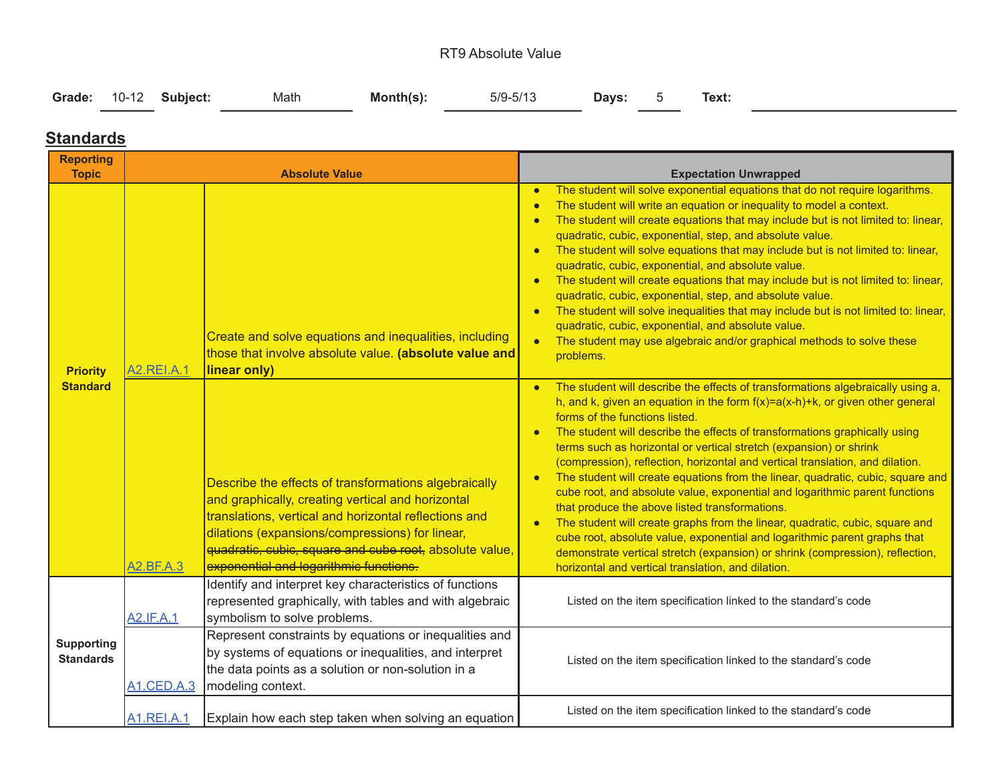#### RT9 Absolute Value

|  | Grade: 10-12 Subject: | Math | $Month(s)$ : | $5/9 - 5/13$ | Days: | Text: |  |
|--|-----------------------|------|--------------|--------------|-------|-------|--|
|  |                       |      |              |              |       |       |  |

#### **Standards**

| <b>Reporting</b><br><b>Topic</b>      |                   | <b>Absolute Value</b>                                                                                                                                                                                                                                                                                                       | <b>Expectation Unwrapped</b>                                                                                                                                                                                                                                                                                                                                                                                                                                                                                                                                                                                                                                                                                                                                                                                                                                                                                                                                                    |
|---------------------------------------|-------------------|-----------------------------------------------------------------------------------------------------------------------------------------------------------------------------------------------------------------------------------------------------------------------------------------------------------------------------|---------------------------------------------------------------------------------------------------------------------------------------------------------------------------------------------------------------------------------------------------------------------------------------------------------------------------------------------------------------------------------------------------------------------------------------------------------------------------------------------------------------------------------------------------------------------------------------------------------------------------------------------------------------------------------------------------------------------------------------------------------------------------------------------------------------------------------------------------------------------------------------------------------------------------------------------------------------------------------|
| <b>Priority</b>                       | <b>A2.REI.A.1</b> | Create and solve equations and inequalities, including<br>those that involve absolute value. (absolute value and<br>linear only)                                                                                                                                                                                            | The student will solve exponential equations that do not require logarithms.<br>$\bullet$<br>The student will write an equation or inequality to model a context.<br>$\bullet$<br>The student will create equations that may include but is not limited to: linear,<br>$\bullet$<br>quadratic, cubic, exponential, step, and absolute value.<br>The student will solve equations that may include but is not limited to: linear,<br>$\bullet$<br>quadratic, cubic, exponential, and absolute value.<br>The student will create equations that may include but is not limited to: linear,<br>$\bullet$<br>quadratic, cubic, exponential, step, and absolute value.<br>The student will solve inequalities that may include but is not limited to: linear,<br>quadratic, cubic, exponential, and absolute value.<br>The student may use algebraic and/or graphical methods to solve these<br>$\bullet$<br>problems.                                                               |
| <b>Standard</b>                       | <b>A2.BF.A.3</b>  | Describe the effects of transformations algebraically<br>and graphically, creating vertical and horizontal<br>translations, vertical and horizontal reflections and<br>dilations (expansions/compressions) for linear,<br>quadratic, cubic, square and cube root, absolute value,<br>exponential and logarithmic functions. | The student will describe the effects of transformations algebraically using a,<br>h, and k, given an equation in the form $f(x)=a(x-h)+k$ , or given other general<br>forms of the functions listed.<br>The student will describe the effects of transformations graphically using<br>terms such as horizontal or vertical stretch (expansion) or shrink<br>(compression), reflection, horizontal and vertical translation, and dilation.<br>The student will create equations from the linear, quadratic, cubic, square and<br>$\bullet$<br>cube root, and absolute value, exponential and logarithmic parent functions<br>that produce the above listed transformations.<br>The student will create graphs from the linear, quadratic, cubic, square and<br>cube root, absolute value, exponential and logarithmic parent graphs that<br>demonstrate vertical stretch (expansion) or shrink (compression), reflection,<br>horizontal and vertical translation, and dilation. |
|                                       | <b>A2.IF.A.1</b>  | Identify and interpret key characteristics of functions<br>represented graphically, with tables and with algebraic<br>symbolism to solve problems.                                                                                                                                                                          | Listed on the item specification linked to the standard's code                                                                                                                                                                                                                                                                                                                                                                                                                                                                                                                                                                                                                                                                                                                                                                                                                                                                                                                  |
| <b>Supporting</b><br><b>Standards</b> | <b>A1.CED.A.3</b> | Represent constraints by equations or inequalities and<br>by systems of equations or inequalities, and interpret<br>the data points as a solution or non-solution in a<br>modeling context.                                                                                                                                 | Listed on the item specification linked to the standard's code                                                                                                                                                                                                                                                                                                                                                                                                                                                                                                                                                                                                                                                                                                                                                                                                                                                                                                                  |
|                                       | <b>A1.REI.A.1</b> | Explain how each step taken when solving an equation                                                                                                                                                                                                                                                                        | Listed on the item specification linked to the standard's code                                                                                                                                                                                                                                                                                                                                                                                                                                                                                                                                                                                                                                                                                                                                                                                                                                                                                                                  |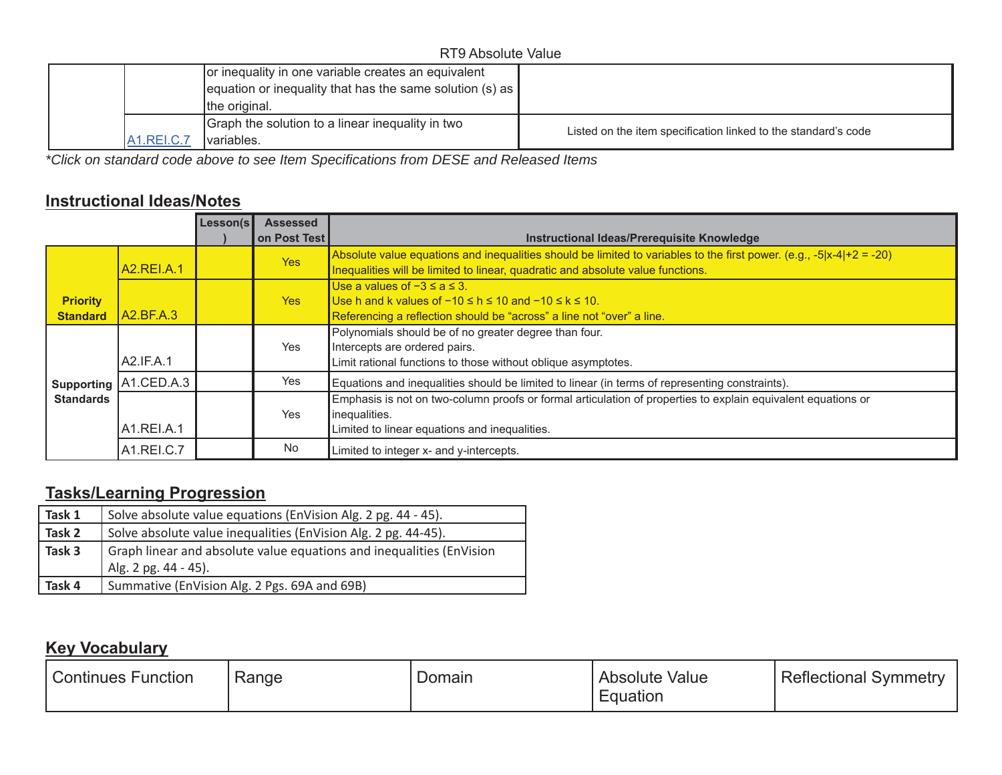| RT9 Absolute Value    |                                                                     |                                                                |  |  |  |  |  |
|-----------------------|---------------------------------------------------------------------|----------------------------------------------------------------|--|--|--|--|--|
|                       | or inequality in one variable creates an equivalent                 |                                                                |  |  |  |  |  |
|                       | $\alpha$   equation or inequality that has the same solution (s) as |                                                                |  |  |  |  |  |
|                       | the original.                                                       |                                                                |  |  |  |  |  |
|                       | Graph the solution to a linear inequality in two                    | Listed on the item specification linked to the standard's code |  |  |  |  |  |
| A <sub>1.REI.C.</sub> | Ivariables.                                                         |                                                                |  |  |  |  |  |

*\*Click on standard code above to see Item Specifications from DESE and Released Items*

### **Instructional Ideas/Notes**

|                  |                         | Lesson(s | <b>Assessed</b> |                                                                                                                                                                                                            |
|------------------|-------------------------|----------|-----------------|------------------------------------------------------------------------------------------------------------------------------------------------------------------------------------------------------------|
|                  |                         |          | on Post Test    | Instructional Ideas/Prerequisite Knowledge                                                                                                                                                                 |
|                  | <b>A2.REI.A.1</b>       |          | <b>Yes</b>      | Absolute value equations and inequalities should be limited to variables to the first power. (e.g., $-5 x-4 +2 = -20$ )<br>Inequalities will be limited to linear, quadratic and absolute value functions. |
|                  |                         |          |                 | Use a values of $-3 \le a \le 3$ .                                                                                                                                                                         |
| <b>Priority</b>  |                         |          | Yes             | Use h and k values of $-10 \le h \le 10$ and $-10 \le k \le 10$ .                                                                                                                                          |
| <b>Standard</b>  | IA2.BF.A.3              |          |                 | Referencing a reflection should be "across" a line not "over" a line.                                                                                                                                      |
|                  |                         |          |                 | Polynomials should be of no greater degree than four.                                                                                                                                                      |
|                  |                         |          | Yes             | Intercepts are ordered pairs.                                                                                                                                                                              |
|                  | LA2.IF.A.1              |          |                 | Limit rational functions to those without oblique asymptotes.                                                                                                                                              |
|                  | Supporting   A1.CED.A.3 |          | Yes             | Equations and inequalities should be limited to linear (in terms of representing constraints).                                                                                                             |
| <b>Standards</b> |                         |          |                 | Emphasis is not on two-column proofs or formal articulation of properties to explain equivalent equations or                                                                                               |
|                  |                         |          | Yes             | inequalities.                                                                                                                                                                                              |
|                  | A1.REI.A.1              |          |                 | Limited to linear equations and inequalities.                                                                                                                                                              |
|                  | A1.REI.C.7              |          | No.             | Limited to integer x- and y-intercepts.                                                                                                                                                                    |

# **Tasks/Learning Progression**

| Task 1 | Solve absolute value equations (EnVision Alg. 2 pg. 44 - 45).                                |
|--------|----------------------------------------------------------------------------------------------|
| Task 2 | Solve absolute value inequalities (EnVision Alg. 2 pg. 44-45).                               |
| Task 3 | Graph linear and absolute value equations and inequalities (EnVision<br>Alg. 2 pg. 44 - 45). |
|        |                                                                                              |
| Task 4 | Summative (EnVision Alg. 2 Pgs. 69A and 69B)                                                 |

### **Key Vocabulary**

| Range<br>Domain<br>Continues Function | Reflectional<br>Value<br>symmetry<br>Absolute<br><b>Equation</b> |
|---------------------------------------|------------------------------------------------------------------|
|---------------------------------------|------------------------------------------------------------------|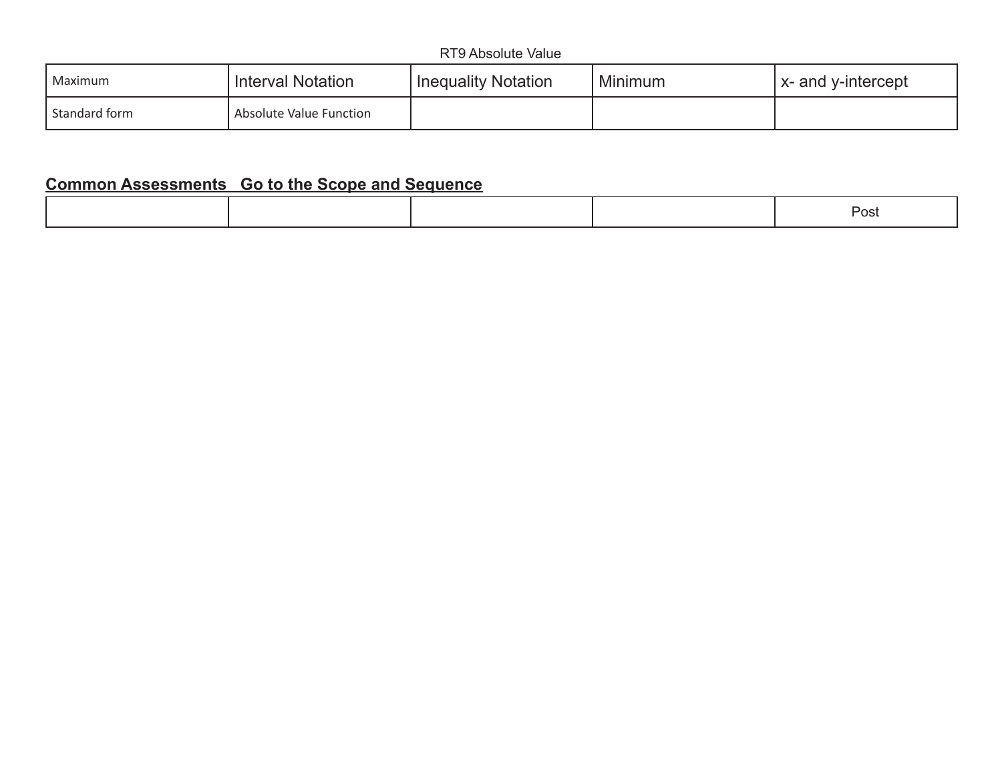| l Maximum     | Interval Notation       | <b>Inequality Notation</b> | Minimum | $\vert$ x- and y-intercept |
|---------------|-------------------------|----------------------------|---------|----------------------------|
| Standard form | Absolute Value Function |                            |         |                            |

|--|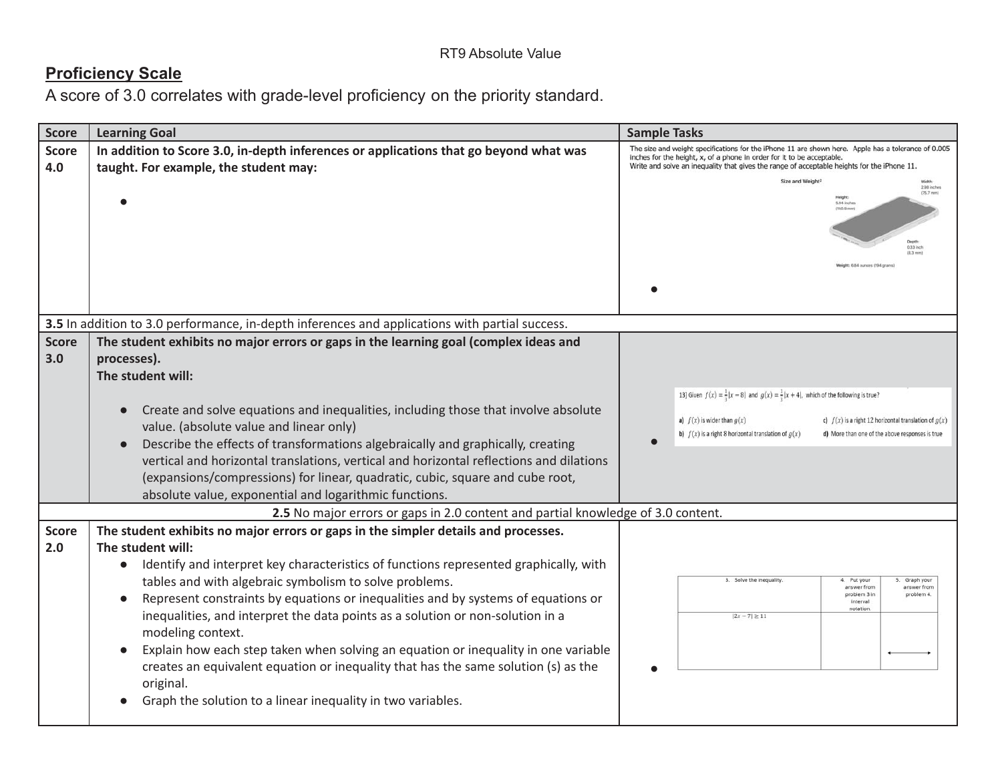| <b>Score</b>                                                                     | <b>Learning Goal</b>                                                                                                                                                                                                                                                                                                                                                                                                                                     | <b>Sample Tasks</b>                                                                                                                                                                                      |  |  |  |
|----------------------------------------------------------------------------------|----------------------------------------------------------------------------------------------------------------------------------------------------------------------------------------------------------------------------------------------------------------------------------------------------------------------------------------------------------------------------------------------------------------------------------------------------------|----------------------------------------------------------------------------------------------------------------------------------------------------------------------------------------------------------|--|--|--|
| <b>Score</b>                                                                     | In addition to Score 3.0, in-depth inferences or applications that go beyond what was                                                                                                                                                                                                                                                                                                                                                                    | The size and weight specifications for the iPhone 11 are shown here. Apple has a tolerance of 0.005<br>inches for the height, x, of a phone in order for it to be acceptable.                            |  |  |  |
| 4.0                                                                              | taught. For example, the student may:                                                                                                                                                                                                                                                                                                                                                                                                                    | Write and solve an inequality that gives the range of acceptable heights for the iPhone 11.                                                                                                              |  |  |  |
|                                                                                  |                                                                                                                                                                                                                                                                                                                                                                                                                                                          | Size and Weight <sup>1</sup><br>2.98 inches<br>$(75.7$ mm<br>5.04 inche<br>eight: 6.84 ounces (194 gras                                                                                                  |  |  |  |
|                                                                                  | 3.5 In addition to 3.0 performance, in-depth inferences and applications with partial success.                                                                                                                                                                                                                                                                                                                                                           |                                                                                                                                                                                                          |  |  |  |
| <b>Score</b><br>3.0                                                              | The student exhibits no major errors or gaps in the learning goal (complex ideas and<br>processes).<br>The student will:                                                                                                                                                                                                                                                                                                                                 |                                                                                                                                                                                                          |  |  |  |
|                                                                                  |                                                                                                                                                                                                                                                                                                                                                                                                                                                          | 13] Given $f(x) = \frac{1}{3} x - 8 $ and $g(x) = \frac{1}{3} x + 4 $ , which of the following is true?                                                                                                  |  |  |  |
|                                                                                  | Create and solve equations and inequalities, including those that involve absolute<br>value. (absolute value and linear only)<br>Describe the effects of transformations algebraically and graphically, creating<br>vertical and horizontal translations, vertical and horizontal reflections and dilations<br>(expansions/compressions) for linear, quadratic, cubic, square and cube root,<br>absolute value, exponential and logarithmic functions.   | a) $f(x)$ is wider than $g(x)$<br>c) $f(x)$ is a right 12 horizontal translation of $g(x)$<br>b) $f(x)$ is a right 8 horizontal translation of $g(x)$<br>d) More than one of the above responses is true |  |  |  |
| 2.5 No major errors or gaps in 2.0 content and partial knowledge of 3.0 content. |                                                                                                                                                                                                                                                                                                                                                                                                                                                          |                                                                                                                                                                                                          |  |  |  |
| <b>Score</b><br>2.0                                                              | The student exhibits no major errors or gaps in the simpler details and processes.<br>The student will:<br>• Identify and interpret key characteristics of functions represented graphically, with<br>tables and with algebraic symbolism to solve problems.<br>Represent constraints by equations or inequalities and by systems of equations or<br>inequalities, and interpret the data points as a solution or non-solution in a<br>modeling context. | 3. Solve the inequality<br>4. Put your<br>5. Graph your<br>answer from<br>answer from<br>problem 3 in<br>problem 4.<br>interval<br>notation<br>$ 2x - 7  \ge 11$                                         |  |  |  |
|                                                                                  | Explain how each step taken when solving an equation or inequality in one variable<br>creates an equivalent equation or inequality that has the same solution (s) as the<br>original.<br>Graph the solution to a linear inequality in two variables.                                                                                                                                                                                                     |                                                                                                                                                                                                          |  |  |  |